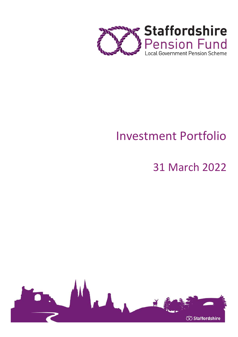

# Investment Portfolio

# 31 March 2022

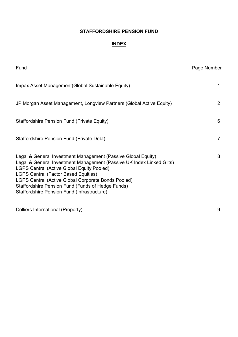## INDEX

| <u>Fund</u>                                                                                                                                                                                                                                                                                                                                                                                           | <b>Page Number</b> |
|-------------------------------------------------------------------------------------------------------------------------------------------------------------------------------------------------------------------------------------------------------------------------------------------------------------------------------------------------------------------------------------------------------|--------------------|
| Impax Asset Management (Global Sustainable Equity)                                                                                                                                                                                                                                                                                                                                                    | 1                  |
| JP Morgan Asset Management, Longview Partners (Global Active Equity)                                                                                                                                                                                                                                                                                                                                  | 2                  |
| <b>Staffordshire Pension Fund (Private Equity)</b>                                                                                                                                                                                                                                                                                                                                                    | 6                  |
| Staffordshire Pension Fund (Private Debt)                                                                                                                                                                                                                                                                                                                                                             | 7                  |
| Legal & General Investment Management (Passive Global Equity)<br>Legal & General Investment Management (Passive UK Index Linked Gilts)<br><b>LGPS Central (Active Global Equity Pooled)</b><br><b>LGPS Central (Factor Based Equities)</b><br>LGPS Central (Active Global Corporate Bonds Pooled)<br>Staffordshire Pension Fund (Funds of Hedge Funds)<br>Staffordshire Pension Fund (Infrastructure) | 8                  |
| <b>Colliers International (Property)</b>                                                                                                                                                                                                                                                                                                                                                              | 9                  |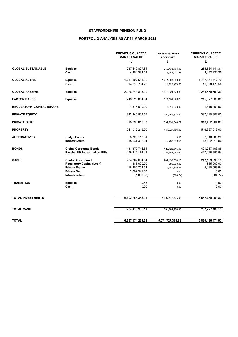## PORTFOLIO ANALYSIS AS AT 31 MARCH 2022

|                                   |                                      | <b>PREVIOUS QUARTER</b><br><b>MARKET VALUE</b> | <b>CURRENT QUARTER</b><br><b>BOOK COST</b> | <b>CURRENT QUARTER</b><br><b>MARKET VALUE</b> |
|-----------------------------------|--------------------------------------|------------------------------------------------|--------------------------------------------|-----------------------------------------------|
|                                   |                                      | £                                              | £                                          | £                                             |
| <b>GLOBAL SUSTAINABLE</b>         | <b>Equities</b>                      | 287,449,807.61                                 | 250,438,764.96                             | 265,534,141.31                                |
|                                   | Cash                                 | 4,354,388.23                                   | 3,442,221.25                               | 3,442,221.25                                  |
| <b>GLOBAL ACTIVE</b>              | <b>Equities</b>                      | 1,787,107,561.66                               | 1,211,003,806.93                           | 1,767,374,417.72                              |
|                                   | Cash                                 | 14,215,734.20                                  | 11,920,470.50                              | 11,920,470.50                                 |
| <b>GLOBAL PASSIVE</b>             | <b>Equities</b>                      | 2,278,744,896.20                               | 1,519,924,573.89                           | 2,235,679,659.39                              |
| <b>FACTOR BASED</b>               | <b>Equities</b>                      | 249,528,804.64                                 | 218,608,485.74                             | 245,827,803.00                                |
| <b>REGULATORY CAPITAL (SHARE)</b> |                                      | 1,315,000.00                                   | 1,315,000.00                               | 1,315,000.00                                  |
| <b>PRIVATE EQUITY</b>             |                                      | 332,346,506.56                                 | 121, 159, 314. 42                          | 337,120,909.00                                |
| <b>PRIVATE DEBT</b>               |                                      | 315,299,012.97                                 | 302,931,044.77                             | 313,462,064.83                                |
| <b>PROPERTY</b>                   |                                      | 541,012,245.00                                 | 481,027,194.00                             | 546,997,019.00                                |
| <b>ALTERNATIVES</b>               | <b>Hedge Funds</b>                   | 3,728,116.81                                   | 0.00                                       | 2,510,003.26                                  |
|                                   | Infrastructure                       | 18,034,482.94                                  | 19,702,519.51                              | 18,192,316.04                                 |
| <b>BONDS</b>                      | <b>Global Corporate Bonds</b>        | 431,379,744.81                                 | 420,120,515.93                             | 401,257,103.88                                |
|                                   | <b>Passive UK Index Linked Gilts</b> | 456,812,178.43                                 | 257,768,964.69                             | 427,488,856.84                                |
| <b>CASH</b>                       | <b>Central Cash Fund</b>             | 224,802,694.64                                 | 247,199,093.15                             | 247,199,093.15                                |
|                                   | <b>Regulatory Capital (Loan)</b>     | 685,000.00                                     | 685,000.00                                 | 685,000.00                                    |
|                                   | <b>Private Equity</b>                | 18,356,753.64                                  | 4,480,699.94                               | 4,480,699.94                                  |
|                                   | <b>Private Debt</b>                  | 2,002,341.00                                   | 0.00                                       | 0.00                                          |
|                                   | Infrastructure                       | (1,006.60)                                     | (304.74)                                   | (304.74)                                      |
| <b>TRANSITION</b>                 | <b>Equities</b>                      | 0.58                                           | 0.00                                       | 0.60                                          |
|                                   | Cash                                 | 0.00                                           | 0.00                                       | 0.00                                          |
| <b>TOTAL INVESTMENTS</b>          |                                      | 6,702,758,358.21                               | 4,807,442,406.08                           | 6,562,759,294.87                              |
| <b>TOTAL CASH</b>                 |                                      | 264,415,905.11                                 | 264,284,958.85                             | 267,727,180.10                                |
|                                   |                                      |                                                |                                            |                                               |
| <b>TOTAL</b>                      |                                      | 6,967,174,263.32                               | 5,071,727,364.93                           | 6,830,486,474.97                              |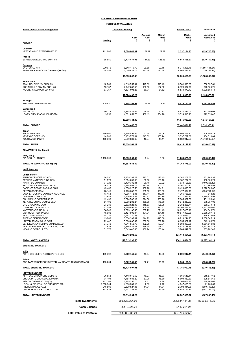| <b>STAFFORDSHIRE PENSION FUND</b> |
|-----------------------------------|
| --------------------              |

| PORTFOLIO VALUATION |  |
|---------------------|--|
|                     |  |

| <b>Funds - Impax Asset Management</b>                               | <b>Currency - Sterling</b> |                                |                             |                             | 31-03-2022<br><b>Report Date -</b> |                              |
|---------------------------------------------------------------------|----------------------------|--------------------------------|-----------------------------|-----------------------------|------------------------------------|------------------------------|
|                                                                     | Holding                    | Cost<br>£                      | Average<br><b>Cost</b><br>£ | <b>Market</b><br>Price<br>£ | <b>Market</b><br><b>Value</b><br>£ | Unrealised<br>Gain/Loss<br>£ |
| <b>EUROPE</b>                                                       |                            |                                |                             |                             |                                    |                              |
| Denmark<br>VESTAS WIND SYSTEM DKK0.20                               | 111,802                    | 2,696,841.31                   | 24.12                       | 22.69                       | 2,537,124.73                       | (159, 716.58)                |
| <b>France</b><br>SCHNEIDER ELECTRIC EUR4.00                         | 68,550                     | 9,434,831.03                   | 137.63                      | 128.58                      | 8,814,468.67                       | (620, 362.36)                |
| <b>Germany</b><br>EVOTEC SE NPV                                     | 230,676                    | 6,848,419.70                   | 29.69                       | 23.15                       | 5,341,228.46                       | (1,507,191.24)               |
| HANNOVER RUECK SE ORD NPV(REGD)                                     | 38,059                     | 5,040,422.76                   | 132.44                      | 130.44                      | 4,964,233.33                       | (76, 189.43)                 |
|                                                                     |                            | 11,888,842.46                  |                             |                             | 10,305,461.79                      | (1,583,380.67)               |
| <b>Netherlands</b><br>ASML HOLDING NV EUR0.09                       | 10,789                     | 4,810,755.44                   | 445.89                      | 515.49                      | 5,561,593.05                       | 750,837.61                   |
| KONINKLIJKE DSM NV EUR1.50<br><b>WOLTERS KLUWER EUR0.12</b>         | 59,137<br>67,767           | 7,742,668.55<br>4,521,008.28   | 130.93<br>66.71             | 137.32<br>81.62             | 8,120,837.76<br>5,530,872.42       | 378,169.21<br>1,009,864.14   |
|                                                                     |                            | 17,074,432.27                  |                             |                             | 19,213,303.23                      | 2,138,870.96                 |
| Portugal<br><b>JERONIMO MARTINS EUR1</b>                            | 300,937                    | 3,754,755.92                   | 12.48                       | 18.36                       | 5,526,160.48                       | 1,771,404.56                 |
| Switzerland                                                         |                            |                                |                             |                             |                                    |                              |
| ALCON INC<br>LONZA GROUP AG CHF1 (REGD)                             | 90,773<br>9,958            | 5,398,885.04<br>4,601,859.76   | 59.48<br>462.13             | 60.83<br>554.78             | 5,521,384.07<br>5,524,518.23       | 122,499.03<br>922,658.47     |
|                                                                     |                            | 10,000,744.80                  |                             |                             | 11,045,902.30                      | 1,045,157.50                 |
| <b>TOTAL EUROPE</b>                                                 |                            | 54,850,447.79                  |                             |                             | 57,442,421.20                      | 2,591,973.41                 |
| <u>Japan</u><br><b>KDDI CORP NPV</b>                                | 259,500                    | 5.796.894.59                   | 22.34                       | 25.06                       | 6,503,396.72                       | 706,502.13                   |
| <b>KEYENCE CORP NPV</b><br><b>KUBOTA CORP NPV</b>                   | 14,900<br>456,800          | 5, 153, 778.84<br>7,599,889.69 | 345.89<br>16.64             | 358.24<br>14.41             | 5,337,797.88<br>6,582,947.60       | 184,019.04<br>(1,016,942.09) |
| TOTAL JAPAN                                                         |                            | 18,550,563.12                  |                             |                             | 18,424,142.20                      | (126, 420.92)                |
| <b>ASIA PACIFIC (Ex Japan)</b>                                      |                            |                                |                             |                             |                                    |                              |
| <b>Hong Kong</b><br>AIA GROUP LTD NPV                               | 1,408,600                  | 11,883,958.42                  | 8.44                        | 8.00                        | 11,263,375.00                      | (620, 583.42)                |
| <b>TOTAL ASIA PACIFIC (Ex Japan)</b>                                |                            | 11,883,958.42                  |                             |                             | 11,263,375.00                      | (620, 583.42)                |
| <b>North America</b>                                                |                            |                                |                             |                             |                                    |                              |
| <b>United States</b>                                                |                            |                                |                             |                             |                                    |                              |
| ANALOG DEVICES INC COM<br>APPLIED MATERIALS INC COM                 | 64,097<br>51,570           | 7,179,332.29<br>5,054,099.03   | 112.01<br>98.00             | 125.45<br>100.10            | 8,041,272.67<br>5, 162, 287. 23    | 861,940.38<br>108,188.20     |
| APTIV PLC COM USD<br>BECTON DICKINSON & CO COM                      | 77,322<br>26,072           | 7,430,382.81<br>4,764,406.76   | 96.10<br>182.74             | 90.92<br>202.03             | 7,030,126.39<br>5,267,270.32       | (400, 256.42)<br>502,863.56  |
| CADENCE DESIGN SYS INC COM                                          | 43,468                     | 4,358,927.56                   | 100.28                      | 124.91                      | 5,429,496.63                       | 1,070,569.07                 |
| <b>CINTAS CORP COM</b>                                              | 23,145                     | 7,768,538.27                   | 335.65                      | 323.09                      | 7,477,804.13                       | (290, 734.14)                |
| COOPER COS INC COM NEW COM NEW<br>DANAHER CORP COM                  | 13,453<br>23,689           | 4,266,118.05<br>4,106,941.82   | 317.11<br>173.37            | 317.16<br>222.79            | 4,266,766.30<br>5,277,555.80       | 648.25<br>1,170,613.98       |
| EQUINIX INC COM PAR \$0.001                                         | 12,438                     | 6,524,706.19                   | 524.58                      | 563.26                      | 7,005,862.50                       | 481,156.31                   |
| IQVIA HLDGS INC COM USD0.01                                         | 51,492                     | 8,066,282.27                   | 156.65                      | 175.60                      | 9,042,239.33                       | 975.957.06                   |
| LHC GROUP INC COM<br>LINDE PLC COM USD0.001                         | 23,289<br>42,053           | 2,692,828.98<br>8,649,490.49   | 115.63<br>205.68            | 128.05<br>242.61            | 2,982,208.71<br>10,202,399.10      | 289,379.73<br>1,552,908.61   |
| MASTERCARD INC CL A                                                 | 36,943                     | 9,893,136.45                   | 267.79                      | 271.43                      | 10,027,485.16                      | 134,348.71                   |
| MICROSOFT CORP COM                                                  | 45,600                     | 8,427,500.07                   | 184.81                      | 234.16                      | 10,677,807.26                      | 2,250,307.19                 |
| TE CONNECTIVITY LTD<br><b>THERMO FISHER CORP</b>                    | 48,131<br>19,869           | 4,441,180.38<br>6,854,599.81   | 92.27<br>344.99             | 99.48<br>448.60             | 4,788,059.01<br>8,913,244.95       | 346,878.63<br>2,058,645.14   |
| UNITED RENTALS INC COM                                              | 22,447                     | 5,806,635.47                   | 258.68                      | 269.78                      | 6,055,822.17                       | 249,186.70                   |
| VERISK ANALYTICS INC COM USD0.001<br>VERTEX PHARMACEUTICALS INC COM | 34,742<br>27,823           | 4,611,858.76<br>3,866,881.41   | 132.75<br>138.98            | 163.01<br>198.21            | 5,663,369.08<br>5,514,728.86       | 1,051,510.32<br>1,647,847.45 |
| VISA INC COM CL A STK                                               | 31,375                     | 5,049,446.63                   | 160.94                      | 168.44                      | 5,284,649.09                       | 235,202.46                   |
|                                                                     |                            | 119,813,293.50                 |                             |                             | 134,110,454.69                     | 14,297,161.19                |
| TOTAL NORTH AMERICA                                                 |                            | 119,813,293.50                 |                             |                             | 134,110,454.69                     | 14,297,161.19                |
| <b>EMERGING MARKETS</b>                                             |                            |                                |                             |                             |                                    |                              |
| India<br>ADR HDFC BK LTD ADR REPSTG 3 SHS                           | 189,392                    | 9,362,756.58                   | 49.44                       | 46.58                       | 8,821,942.41                       | (540, 814.17)                |
| Taiwan<br>ADR TAIWAN SEMICONDUCTOR MANUFACTURING SPON ADS           | 113,204                    | 9,362,751.33                   | 82.71                       | 79.19                       | 8,964,150.04                       | (398, 601.29)                |
| <b>TOTAL EMERGING MARKETS</b>                                       |                            | 18,725,507.91                  |                             |                             | 17,786,092.45                      | (939, 415.46)                |
| <b>UNITED KINGDOM</b><br>ASHTEAD GROUP ORD GBP0.10                  | 96,558                     | 4,448,070.52                   | 46.07                       | 48.33                       | 4,666,648.14                       | 218,577.62                   |
| CRODA INTL ORD GBP0.10609756                                        | 71,191                     | 4,784,035.20                   | 67.20                       | 78.80                       | 5,609,850.80                       | 825,815.60                   |
| HISCOX ORD GBP0.065 (DI)                                            | 417,309                    | 3,465,790.70                   | 8.31                        | 9.84                        | 4,104,651.32                       | 638,860.62                   |
| LEGAL & GENERAL GP ORD GBP0.025<br>PRUDENTIAL GBP0.05               | 1,598,344<br>246,809       | 4,306,230.12<br>3,679,527.86   | 2.69<br>14.91               | 2.72<br>11.34               | 4,347,495.68<br>2,798,814.06       | 41,265.56<br>(880, 713.80)   |
| UNILEVER PLC ORD GBP 0.031111                                       | 143,932                    | 5,931,339.82                   | 41.21                       | 34.60                       | 4,980,195.77                       | (951, 144.05)                |
| TOTAL UNITED KINGDOM                                                |                            | 26,614,994.22                  |                             |                             | 26,507,655.77                      | (107, 338.45)                |
| <b>Total Investments</b>                                            |                            | 250,438,764.96                 |                             |                             | 265,534,141.31                     | 15,095,376.35                |
| <b>Cash Balance</b>                                                 |                            | 3,442,221.25                   |                             |                             | 3,442,221.25                       |                              |
| <b>Total Value of Portfolio</b>                                     |                            | 253,880,986.21                 |                             |                             | 268,976,362.56                     |                              |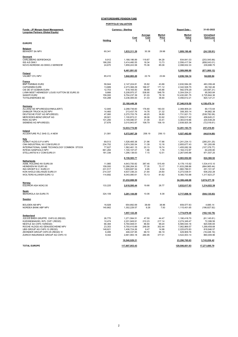| Funds - JP Morgan Asset Management,<br>Longview Partners (Global Equity) | <b>Currency - Sterling</b> |                              |                             |                             | <b>Report Date -</b>         |                              |  |
|--------------------------------------------------------------------------|----------------------------|------------------------------|-----------------------------|-----------------------------|------------------------------|------------------------------|--|
|                                                                          | Holding                    | Cost<br>£                    | <b>Average</b><br>Cost<br>£ | <b>Market</b><br>Price<br>£ | <b>Market</b><br>Value<br>£  | Unrealised<br>Gain/Loss<br>£ |  |
| <b>EUROPE</b>                                                            |                            |                              |                             |                             |                              |                              |  |
| <u>Belgium</u><br>BEKAERT SA NPV                                         | 60,341                     | 1,833,311.39                 | 30.38                       | 29.98                       | 1,809,190.48                 | (24, 120.91)                 |  |
| <u>Denmark</u>                                                           |                            |                              |                             |                             |                              |                              |  |
| CARLSBERG SER'B'DKK20<br><b>ISS A/S DKK1</b>                             | 9,912                      | 1,188,186.89                 | 119.87<br>18.34             | 94.29                       | 934,641.03                   | (253, 545.86)                |  |
| NOVO-NORDISK AS DKK0.2 SERIES'B'                                         | 186,200<br>24,670          | 3,414,460.55<br>1,859,243.58 | 75.36                       | 13.73<br>85.08              | 2,556,417.54<br>2,098,932.33 | (858, 043.01)<br>239,688.75  |  |
|                                                                          |                            |                              |                             |                             |                              |                              |  |
| Finland                                                                  |                            | 6,461,891.02                 |                             |                             | 5,589,990.90                 | (871, 900.12)                |  |
| VALMET OYJ NPV                                                           | 85,410                     | 1,942,083.20                 | 22.74                       | 23.84                       | 2,036,104.14                 | 94,020.94                    |  |
| <b>France</b>                                                            |                            |                              |                             |                             |                              |                              |  |
| <b>BNP PARIBAS EUR2</b>                                                  | 59,944                     | 2,147,224.81                 | 35.82                       | 43.88                       | 2,630,584.29                 | 483,359.48                   |  |
| <b>CAPGEMINI EUR8</b><br>CIE DE ST-GOBAIN EUR4                           | 13,689<br>12,703           | 2,273,366.29<br>618,165.50   | 166.07<br>48.66             | 171.12<br>45.86             | 2,342,528.75<br>582,578.29   | 69,162.46<br>(35, 587.21)    |  |
| LVMH MOET HENNESSY LOUIS VUITTON SE EUR0.30                              | 9,666                      | 5,208,970.37                 | 538.90                      | 548.78                      | 5,304,534.21                 | 95,563.84                    |  |
| SANOFI EUR2                                                              | 159,000                    | 9,704,237.39                 | 61.03                       | 78.18                       | 12,430,081.75                | 2,725,844.36                 |  |
| <b>TOTALENERGIES SE</b>                                                  | 104,288                    | 3,236,485.00                 | 31.03                       | 38.90                       | 4,056,612.21                 | 820, 127.21                  |  |
|                                                                          |                            | 23,188,449.36                |                             |                             | 27,346,919.50                | 4,158,470.14                 |  |
| Germany<br>ALLIANZ SE NPV(REGD)(VINKULIERT)                              | 12,945                     | 2,288,736.60                 | 176.80                      | 183.00                      | 2,368,909.24                 | 80,172.64                    |  |
| DAIMLER TRUCK HLDG NPV                                                   | 14,460                     | 213,437.76                   | 14.76                       | 21.32                       | 308,300.14                   | 94,862.38                    |  |
| DEUTSCHE POST AG NPV(REGD)                                               | 47,060                     | 2,270,703.79                 | 48.25                       | 36.80                       | 1,731,921.73                 | (538, 782.06)                |  |
| MERCEDES-BENZ GROUP AG                                                   | 28,921                     | 1,100,872.21                 | 38.06                       | 53.92                       | 1,559,517.42                 | 458,645.21                   |  |
| <b>RWE AG NPV</b>                                                        | 101,290                    | 3,149,080.57                 | 31.09                       | 33.41                       | 3,383,619.86                 | 234.539.29                   |  |
| SIEMENS AG NPV(REGD)                                                     | 27,676                     | 3,010,943.97                 | 108.79                      | 106.19                      | 2,938,925.36                 | (72,018.61)                  |  |
|                                                                          |                            | 12,033,774.90                |                             |                             | 12,291,193.75                | 257,418.85                   |  |
| Ireland<br>ACCENTURE PLC SHS CL A NEW                                    | 21,581                     | 5,572,097.29                 | 258.19                      | 256.13                      | 5,527,482.69                 | (44, 614.60)                 |  |
| Italy                                                                    |                            |                              |                             |                             |                              |                              |  |
| AZIMUT HLDG S.P.A NPV                                                    | 69,513                     | 1,526,485.38                 | 21.96                       | 17.86                       | 1,241,234.13                 | (285, 251.25)                |  |
| CNH INDUSTRIAL NV COM EUR0.01                                            | 234,752                    | 2,674,393.54                 | 11.39                       | 12.16                       | 2,855,677.43                 | 181,283.89                   |  |
| INTERNATIONAL GAME TECHNOLOGY COMMON STOCK                               | 77,627                     | 1,562,461.15                 | 20.13                       | 18.74                       | 1,455,082.38                 | (107, 378.77)                |  |
| INTESA SANPAOLO NPV                                                      | 661,284                    | 1,100,107.07                 | 1.66                        | 1.76                        | 1,164,312.87                 | 64,205.80                    |  |
| STELLANTIS N.V COM EUR0.01                                               | 181,336                    | 1,296,138.63                 | 7.15                        | 12.51                       | 2,267,645.88                 | 971,507.25                   |  |
|                                                                          |                            | 8,159,585.77                 |                             |                             | 8,983,952.69                 | 824,366.92                   |  |
| Netherlands<br>ASML HOLDING NV EUR0.09                                   | 11,985                     | 4,643,700.82                 | 387.46                      | 515.49                      | 6,178,115.92                 | 1,534,415.10                 |  |
| HEINEKEN NV EUR1.60                                                      | 159,000                    | 12,298,264.30                | 77.35                       | 73.17                       | 11,633,298.86                | (664, 965.44)                |  |
| ING GROEP N.V. EUR0.01                                                   | 231,517                    | 1,609,687.54                 | 6.95                        | 8.04                        | 1,860,789.51                 | 251,101.97                   |  |
| KON AHOLD DELHAIZE EUR0.01                                               | 214,337                    | 4,637,336.23                 | 21.64                       | 24.60                       | 5,273,538.51                 | 636,202.28                   |  |
| <b>WOLTERS KLUWER EUR0.12</b>                                            | 114,692                    | 8,043,080.61                 | 70.13                       | 81.62                       | 9,360,703.88                 | 1,317,623.27                 |  |
|                                                                          |                            | 31,232,069.50                |                             |                             | 34,306,446.68                | 3,074,377.18                 |  |
| Norway<br>EQUINOR ASA NOK2.50                                            | 133,225                    | 2,618,595.44                 | 19.66                       | 28.77                       | 3,832,617.83                 | 1,214,022.39                 |  |
| <u>Spain</u>                                                             |                            |                              |                             |                             |                              |                              |  |
| <b>IBERDROLA SA EUR0.75</b>                                              | 324,109                    | 3,261,144.09                 | 10.06                       | 8.38                        | 2,717,008.16                 | (544, 135.93)                |  |
| <b>Sweden</b>                                                            |                            |                              |                             |                             |                              |                              |  |
| <b>BOLIDEN AB NPV</b>                                                    | 16,928                     | 654,892.69                   | 38.69                       | 38.96                       | 659.577.83                   | 4,685.14                     |  |
| NORDEA BANK ABP NPV                                                      | 140,662                    | 1,302,229.57                 | 9.26                        | 7.93                        | 1,115,401.65                 | (186, 827.92)                |  |
| Switzerland                                                              |                            | 1,957,122.26                 |                             |                             | 1,774,979.48                 | (182, 142.78)                |  |
| JULIUS BAER GRUPPE CHF0.02 (REGD)                                        | 26,770                     | 1,271,564.51                 | 47.50                       | 44.47                       | 1,190,418.70                 | (81, 145.81)                 |  |
| KUEHNE&NAGEL INTL CHF1 (REGD)                                            | 10,474                     | 2,201,949.91                 | 210.23                      | 217.14                      | 2,274,349.47                 | 72,399.56                    |  |
| NESTLE SA CHF0.10(REGD)                                                  | 66,384                     | 5,764,948.51                 | 86.84                       | 99.20                       | 6,585,544.16                 | 820,595.65                   |  |
| ROCHE HLDGS AG GENUSSCHEINE NPV                                          | 23,353                     | 5,793,410.89                 | 248.08                      | 302.44                      | 7,062,869.57                 | 1,269,458.68                 |  |
| UBS GROUP AG CHF0.10 (REGD)                                              | 148,621                    | 1,406,724.26                 | 9.47                        | 14.98                       | 2,225,670.83                 | 818,946.57                   |  |
| ZEHNDER GROUP CHF0.05 (REGD) 'A'                                         | 6,495                      | 446,337.95                   | 68.72                       | 66.19                       | 429,909.76                   | (16, 428.19)                 |  |
| ZURICH INSURANCE GROUP AG CHF0.10                                        | 9,342                      | 2,661,993.18                 | 284.95                      | 377.01                      | 3,522,003.14                 | 860,009.96                   |  |
|                                                                          |                            | 19,546,929.21                |                             |                             | 23,290,765.63                | 3,743,836.42                 |  |
| <b>TOTAL EUROPE</b>                                                      |                            | 117,807,053.43               |                             |                             | 129,506,651.93               | 17,271,695.79                |  |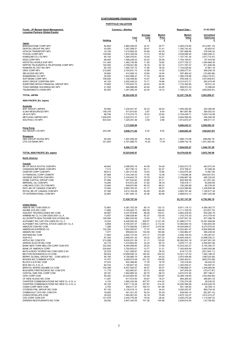| <b>Funds - JP Morgan Asset Management,</b>                                           | <b>Currency - Sterling</b> |                                 |                             |                             | <b>Report Date -</b><br>31-03-2022 |                                 |  |
|--------------------------------------------------------------------------------------|----------------------------|---------------------------------|-----------------------------|-----------------------------|------------------------------------|---------------------------------|--|
| <b>Longview Partners (Global Equity)</b>                                             | Holding                    | <b>Cost</b><br>£                | Average<br><u>Cost</u><br>£ | <b>Market</b><br>Price<br>£ | <b>Market</b><br>Value<br>£        | Unrealised<br>Gain/Loss<br>£    |  |
| <u>Japan</u><br>BRIDGESTONE CORP NPV                                                 | 82,800                     | 2,680,208.02                    | 32.37                       | 29.77                       | 2,465,216.92                       | (214, 991.10)                   |  |
| DENTSU GROUP INC NPV                                                                 | 43,000                     | 1,267,088.51                    | 29.47                       | 31.41                       | 1,350,742.42                       | 83,653.91                       |  |
| HITACHI TRANSPORT NPV                                                                | 33,100                     | 1,015,826.24                    | 30.69                       | 42.05                       | 1,391,866.66                       | 376,040.42                      |  |
| <b>ITOCHU CORP NPV</b><br>KAMIGUMI CO LTD NPV                                        | 136,500<br>84,100          | 1.874.329.09<br>1,265,476.81    | 13.73<br>15.05              | 25.93<br>13.77              | 3,539,588.40<br>1,157,761.34       | 1,665,259.31<br>(107, 715.47)   |  |
| <b>KDDI CORP NPV</b>                                                                 | 68,000                     | 1,566,246.02                    | 23.03                       | 25.06                       | 1,704,165.61                       | 137,919.59                      |  |
| KINTETSU WORLD EXP NPV<br>NIPPON TELEGRAPH & TELEPHONE CORP NPV                      | 131,400<br>152,000         | 1,482,735.99<br>2,759,941.89    | 11.28<br>18.16              | 19.62<br>22.18              | 2,577,705.37<br>3,371,787.47       | 1,094,969.38<br>611,845.58      |  |
| NOMURA RL EST INC NPV                                                                | 60,100                     | 1,055,167.73                    | 17.56                       | 18.35                       | 1,103,028.92                       | 47,861.19                       |  |
| ORIX CORP NPV                                                                        | 212,800                    | 2,700,831.73                    | 12.69                       | 15.32                       | 3,259,077.51                       | 558,245.78                      |  |
| SBI HLDGS INC NPV<br>SHIMAMURA CO NPV                                                | 30,800<br>20,000           | 612,926.10<br>1,544,598.47      | 19.90<br>77.23              | 19.40<br>68.02              | 597,465.42<br>1,360,378.96         | (15, 460.68)<br>(184, 219.51)   |  |
| SOFTBANK CORP NPV                                                                    | 109,500                    | 1,146,408.80                    | 10.47                       | 8.94                        | 978,459.13                         | (167, 949.67)                   |  |
| SONY GROUP CORPORA NPV<br>SUMITOMO MITSUI FINANCIAL GROUP NPV                        | 44,100<br>70,900           | 3,250,438.23<br>1,703,833.72    | 73.71<br>24.03              | 79.66<br>24.45              | 3,512,912.71<br>1,733,364.95       | 262,474.48<br>29,531.23         |  |
| TOKIO MARINE HOLDINGS INC NPV                                                        | 21,500                     | 946,886.66                      | 44.04                       | 44.60                       | 958,973.30                         | 12,086.64                       |  |
| TSUBAKIMOTO CHAIN NPV                                                                | 62,000                     | 1,391,084.34                    | 22.44                       | 19.12                       | 1,185,231.73                       | (205, 852.61)                   |  |
| <b>TOTAL JAPAN</b><br><b>ASIA PACIFIC (Ex Japan)</b>                                 |                            | 28,264,028.35                   |                             |                             | 32,247,726.82                      | 3,983,698.47                    |  |
| Australia                                                                            |                            |                                 |                             |                             |                                    |                                 |  |
| <b>BHP GROUP LIMITED</b><br><b>ILUKA RESOURCES NPV</b>                               | 52,694<br>149,376          | 1,334,931.97<br>577,815.83      | 25.33<br>3.87               | 29.52<br>6.44               | 1,555,292.82<br>961,867.86         | 220,360.85<br>384,052.03        |  |
| JB HI-FI NPV                                                                         | 88,746                     | 1,715,274.73                    | 19.33                       | 30.92                       | 2,744,409.71                       | 1,029,134.98                    |  |
| <b>METCASH LIMITED NPV</b><br>SOUTH32 LTD NPV                                        | 1.005.876<br>633,523       | 2,220,573.37<br>1,325,361.06    | 2.21<br>2.09                | 2.59<br>2.86                | 2,604,599.45<br>1,813,872.47       | 384,026.08<br>488,511.41        |  |
| <b>Hong Kong</b>                                                                     |                            | <u>7,173,956.96</u>             |                             |                             | 9,680,042.31                       | 2,506,085.35                    |  |
| AIA GROUP LTD NPV                                                                    | 243,200                    | 2,046,711.02                    | 8.42                        | 8.00                        | 1,944,663.35                       | (102, 047.67)                   |  |
| Singapore<br>DBS GROUP HLDGS NPV<br>UTD O/S BANK NPV                                 | 94,300<br>331,600          | 1,597,489.29<br>4.707.688.70    | 16.94<br>14.20              | 20.11<br>17.97              | 1,896,173.08<br>5,958,752.19       | 298,683.79<br>1.251.063.49      |  |
|                                                                                      |                            | 6,305,177.99                    |                             |                             | 7,854,925.27                       | 1,549,747.28                    |  |
| <b>TOTAL ASIA PACIFIC (Ex Japan)</b>                                                 |                            | 15,525,845.97                   |                             |                             | 19,479,630.93                      | 3,953,784.96                    |  |
| <b>North America</b>                                                                 |                            |                                 |                             |                             |                                    |                                 |  |
| Canada<br>BK OF NOVA SCOTIA COM NPV                                                  | 46,842                     | 2,088,500.18                    | 44.59                       | 54.48                       | 2,552,073.72                       | 463.573.54                      |  |
| CANADIAN IMP BANK COM NPV                                                            | 7,313                      | 607,790.13                      | 83.11                       | 92.27                       | 674,798.41                         | 67,008.28                       |  |
| CANFOR CORP COM NPV                                                                  | 89,613                     | 1,391,013.46                    | 15.52                       | 15.66                       | 1,403,675.28                       | 12,661.82                       |  |
| CI FINANCIAL CORP COMSTK<br>GEORGE WESTON COM NPV                                    | 97,688<br>27,774           | 1,724,344.03<br>2,104,643.75    | 17.65<br>75.78              | 12.08<br>93.61              | 1,179,696.36<br>2,599,967.38       | (544, 647.67)<br>495,323.63     |  |
| HOME CAPITAL GROUP COM                                                               | 27,096                     | 647,543.82                      | 23.90                       | 23.11                       | 626,092.58                         | (21, 451.24)                    |  |
| <b>IMPERIAL OIL COM NPV</b><br>LOBLAWS COS LTD COM NPV                               | 19,284<br>10,940           | 615,572.26<br>659,970.89        | 31.92<br>60.33              | 36.79<br>68.21              | 709,418.11<br>746,246.89           | 93,845.85<br>86.276.00          |  |
| NATL BK OF CANADA COM NPV                                                            | 72,482                     | 2,983,760.30                    | 41.17                       | 58.27                       | 4,223,586.88                       | 1,239,826.58                    |  |
| ROYAL BK OF CANADA COM NPV<br>TFI INTERNATIONAL COM NPV                              | 57,385                     | 3,612,164.08                    | 62.95                       | 83.69                       | 4,802,781.46<br>2,668,810.13       | 1,190,617.38                    |  |
|                                                                                      | 32,963                     | 1,001,484.14<br>17,436,787.04   | 30.38                       | 80.96                       | 22,187,147.20                      | 1,667,325.99<br>4,750,360.16    |  |
| <b>United States</b>                                                                 |                            |                                 |                             |                             |                                    |                                 |  |
| ABBVIE INC COM USD0.01<br>ADOBE SYS INC COM                                          | 72,863<br>11,882           | 4,381,752.39<br>4, 165, 262. 73 | 60.14<br>350.55             | 123.12<br>346.04            | 8,971,116.12<br>4,111,705.03       | 4,589,363.73<br>(53, 557.70)    |  |
| AGILENT TECHNOLOGIES INC COM                                                         | 48,587                     | 4,337,978.66                    | 89.28                       | 100.51                      | 4,883,239.45                       | 545,260.79                      |  |
| AIRBNB INC CL A COM USD0.0001 CL A<br>ALLSCRIPTS HEALTHCARE SOLUTIONS INC            | 13,057<br>148,360          | 1,088,538.90<br>1,860,254.56    | 83.37<br>12.54              | 130.45<br>17.10             | 1,703,315.35<br>2,537,551.32       | 614,776.45<br>677,296.76        |  |
| ALPHABET INC CAP STK USD0.001 CL C                                                   | 10,224                     | 6,426,550.35                    | 628.57                      | 2,121.28                    | 21,688,017.01                      | 15,261,466.66                   |  |
| ALPHABET INC CAPITAL STOCK USD0.001 CL A<br>AMAZON COM INC COM                       | 6,658<br>7,288             | 6,700,001.07<br>9,770,089.85    | 1,006.31<br>1,340.57        | 2,112.44<br>2,475.94        | 14,064,654.16<br>18,044,669.27     | 7,364,653.09<br>8,274,579.42    |  |
| AMERICAN EXPRESS CO                                                                  | 102,255                    | 7,922,085.67                    | 77.47                       | 142.03                      | 14,522,981.47                      | 6,600,895.80                    |  |
| AMGEN INC COM                                                                        | 7,377                      | 959,643.53                      | 130.09                      | 183.66                      | 1,354,882.47                       | 395,238.94                      |  |
| ANTHEM INC COM<br>AON PLC                                                            | 11,944<br>67,300           | 3,262,737.54<br>2,646,401.30    | 273.17<br>39.32             | 373.08<br>247.32            | 4,456,105.45<br>16,644,436.51      | 1,193,367.91<br>13,998,035.21   |  |
| APPLE INC COM STK                                                                    | 213,268                    | 6,635,031.09                    | 31.11                       | 132.62                      | 28,282,932.18                      | 21,647,901.09                   |  |
| ARROW ELECTR INC COM<br>BANK NEW YORK MELLON CORP COM STK                            | 44,170<br>332,500          | 1,472,803.50<br>8,390,908.90    | 33.34<br>25.24              | 90.10<br>37.69              | 3,979,711.16<br>12,533,303.27      | 2,506,907.66<br>4, 142, 394. 37 |  |
| <b>BANK OF AMERICA CORP</b>                                                          | 234,640                    | 3,700,803.61                    | 15.77                       | 31.31                       | 7,345,809.49                       | 3,645,005.88                    |  |
| BATH & BODY WORKS INC COM USD0.5 WI                                                  | 22,579                     | 1,021,258.87                    | 45.23                       | 36.30                       | 819,713.76                         | (201, 545.11)                   |  |
| BECTON DICKINSON & CO COM<br>BERRY GLOBAL GROUP INC COM USD0.01                      | 69,402<br>90,195           | 12,658,948.10<br>4,156,980.75   | 182.40<br>46.09             | 202.03<br>44.02             | 14,021,137.43<br>3,970,456.69      | 1,362,189.33<br>(186, 524.06)   |  |
| BIOGEN INC COMMON STOCK                                                              | 14,757                     | 3,265,973.09                    | 221.32                      | 159.95                      | 2,360,402.51                       | (905, 570.58)                   |  |
| BLOCK H & R INC COM<br>BOX INC CL A CL A                                             | 37,033<br>60,722           | 642,386.80<br>1,185,647.30      | 17.35<br>19.53              | 19.78<br>22.07              | 732,418.83<br>1,340,205.21         | 90,032.03<br>154,557.91         |  |
| BRISTOL MYERS SQUIBB CO COM                                                          | 140,389                    | 6,537,929.57                    | 46.57                       | 55.47                       | 7,786,889.37                       | 1,248,959.80                    |  |
| BUILDERS FIRSTSOURCE INC COM STK<br>CAPITAL ONE FINL CORP COM                        | 11,179<br>28,181           | 622,993.87<br>1,852,885.24      | 55.73<br>65.75              | 49.02<br>99.72              | 547,976.00<br>2,810,073.45         | (75, 017.87)<br>957,188.21      |  |
| CDW CORP COM                                                                         | 90,302                     | 12,423,604.55                   | 137.58                      | 135.87                      | 12,269,109.90                      | (154, 494.65)                   |  |
| CF INDS HLDGS INC COM                                                                | 11,297                     | 617,574.50                      | 54.67                       | 78.27                       | 884,265.93                         | 266,691.43                      |  |
| CHARTER COMMUNICATIONS INC NEW CL A CL A<br>CHARTER COMMUNICATIONS INC NEW CL A CL A | 4,152<br>25,102            | 1,692,244.06<br>5,971,116.29    | 407.57<br>237.87            | 414.32<br>414.32            | 1,720,274.08<br>10,400,366.08      | 28,030.02<br>4,429,249.79       |  |
| CIGNA CORP NEW COM                                                                   | 2,754                      | 456,417.37                      | 165.73                      | 181.98                      | 501,185.50                         | 44,768.13                       |  |
| CITIZENS FINL GROUP INC COM<br>COMMVAULT SYS INC COM STK                             | 87,145<br>16,650           | 2,130,518.12<br>921,431.20      | 24.45<br>55.34              | 34.43<br>50.39              | 3,000,252.57<br>839,044.10         | 869,734.45                      |  |
| CONOCOPHILLIPS COM                                                                   | 35,222                     | 1,062,907.00                    | 30.18                       | 75.95                       | 2,675,122.27                       | (82, 387.10)<br>1,612,215.27    |  |
| <b>CSX CORP COM STK</b>                                                              | 121,479                    | 2,344,778.26                    | 19.30                       | 28.44                       | 3,455,275.29                       | 1,110,497.03                    |  |
| DARDEN RESTAURANTS INC COM                                                           | 28,092                     | 2,847,345.05                    | 101.36                      | 100.98                      | 2,836,616.50                       | (10, 728.55)                    |  |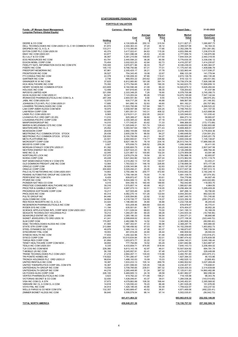| Funds - JP Morgan Asset Management,<br><b>Longview Partners (Global Equity)</b>     |                   | <b>Currency - Sterling</b>    |                  |                        | <b>Report Date -</b>            | 31-03-2022                    |
|-------------------------------------------------------------------------------------|-------------------|-------------------------------|------------------|------------------------|---------------------------------|-------------------------------|
|                                                                                     |                   | Cost                          | Average<br>Cost  | <b>Market</b><br>Price | <b>Market</b><br>Value          | Unrealised<br>Gain/Loss       |
|                                                                                     | Holding           | £                             | £                | £                      | £                               | £                             |
| DEERE & CO COM<br>DELL TECHNOLOGIES INC COM USD0.01 CL C WI COMMON STOCK            | 16,517            | 4,130,929.48                  | 250.10           | 315.54                 | 5,211,827.21                    | 1,080,897.73                  |
| DROPBOX INC CL A CL A                                                               | 61,872<br>133,211 | 2,304,363.33<br>3,113,380.85  | 37.24<br>23.37   | 38.12<br>17.66         | 2,358,527.66<br>2,352,299.79    | 54, 164. 33<br>(761, 081.06)  |
| EATON CORP PLC COM USD0.50                                                          | 40,374            | 3,417,022.41                  | 84.63            | 115.26                 | 4,653,596.46                    | 1,236,574.05                  |
| EBAY INC COM USD0.001                                                               | 63,877            | 1,631,086.08                  | 25.53            | 43.49                  | 2,777,956.74                    | 1,146,870.66                  |
| ELI LILLY & CO COM                                                                  | 36,067            | 5,361,215.69                  | 148.65           | 217.50                 | 7,844,534.24                    | 2,483,318.55                  |
| EOG RESOURCES INC COM                                                               | 63,791            | 2,440,594.23                  | 38.26            | 90.56                  | 5,776,630.35                    | 3,336,036.12                  |
| EXXON MOBIL CORP COM<br>FIDELITY NATL INFORMATION SVCS INC COM STK                  | 70,404<br>109,300 | 3,002,022.20<br>3,970,871.96  | 42.64<br>36.33   | 62.73<br>76.27         | 4,416,257.87<br>8,336,236.03    | 1,414,235.67<br>4,365,364.07  |
| <b>FISERV INC COM</b>                                                               | 145,110           | 9,766,750.66                  | 67.31            | 77.01                  | 11, 175, 447. 45                | 1,408,696.79                  |
| FREEPORT-MCMORAN INC                                                                | 87,961            | 2,305,425.17                  | 26.21            | 37.78                  | 3,322,963.44                    | 1,017,538.27                  |
| FRONTDOOR INC COM                                                                   | 39,527            | 754,343.45                    | 19.08            | 22.67                  | 896,123.39                      | 141,779.94                    |
| FTI CONSULTING INC COM                                                              | 22,378            | 2,190,006.30                  | 97.86            | 119.41                 | 2,672,136.78                    | 482,130.48                    |
| <b>GARTNER INC COM</b><br><b>GRAINGER W W INC COM</b>                               | 2,736<br>37,625   | 666,553.22<br>6,812,983.80    | 243.62<br>181.08 | 225.92<br>391.74       | 618,122.13<br>14,739,374.38     | (48, 431.09)<br>7,926,390.58  |
| HCA HEALTHCARE INC COM                                                              | 75,350            | 2,773,764.65                  | 36.81            | 190.35                 | 14,342,623.75                   | 11,568,859.10                 |
| HENRY SCHEIN INC COMMON STOCK                                                       | 223,809           | 9,194,590.48                  | 41.08            | 66.22                  | 14,820,875.12                   | 5,626,284.64                  |
| <b>HOLOGIC INC COM</b>                                                              | 12,499            | 647,816.65                    | 51.83            | 58.35                  | 729,254.63                      | 81,437.98                     |
| <b>INFOSYS LIMITED ADR</b>                                                          | 321,556           | 2,333,349.25                  | 7.26             | 18.90                  | 6,078,705.98                    | 3,745,356.73                  |
| IQVIA HLDGS INC COM USD0.01<br>IRONWOOD PHARMACEUTICALS INC COM CL A                | 83,541<br>287,358 | 7,123,053.04<br>2,844,551.80  | 85.26<br>9.90    | 175.60<br>9.55         | 14,670,195.68<br>2,745,576.55   | 7,547,142.64<br>(98, 975.25)  |
| JABIL INC COM USD0.001                                                              | 12,575            | 630,717.29                    | 50.16            | 46.88                  | 589,567.99                      | (41, 149.30)                  |
| JOHNSON CTLS INTL PLC COM USD0.01                                                   | 17,895            | 941,890.19                    | 52.63            | 49.80                  | 891,182.21                      | (50, 707.98)                  |
| L3HARRIS TECHNOLOGIES INC COM                                                       | 83,578            | 11,503,795.99                 | 137.64           | 188.71                 | 15,772,319.21                   | 4,268,523.22                  |
| LAB CORP AMER HLDGS COM NEW                                                         | 18,975            | 3,558,597.98                  | 187.54           | 200.25                 | 3,799,755.53                    | 241,157.55                    |
| LAM RESH CORP COM<br>LINDE PLC COM USD0.001                                         | 12,920<br>9,565   | 1,851,551.51<br>2,219,511.21  | 143.31<br>232.05 | 408.32<br>242.61       | 5,275,449.57<br>2,320,546.63    | 3,423,898.06<br>101,035.42    |
| LIVANOVA PLC ORD GBP1.00 (DI)                                                       | 11,010            | 625,389.47                    | 56.80            | 62.15                  | 684,273.14                      | 58.883.67                     |
| LOUISIANA-PACIFIC CORP COM                                                          | 49,055            | 2,300,395.22                  | 46.89            | 47.18                  | 2,314,431.60                    | 14,036.38                     |
| MANPOWERGROUP INC                                                                   | 14,010            | 1,171,542.81                  | 83.62            | 71.33                  | 999,368.93                      | (172, 173.88)                 |
| MARSH & MCLENNAN CO'S INC COM                                                       | 111,320           | 11,325,849.31                 | 101.74           | 129.43                 | 14,408,652.99                   | 3,082,803.68                  |
| MASTERCARD INC CL A<br><b>MCKESSON CORP</b>                                         | 25,452<br>28,639  | 5,083,547.64<br>2,882,155.68  | 199.73<br>100.64 | 271.43<br>232.51       | 6,908,468.51<br>6,658,760.04    | 1,824,920.87<br>3,776,604.36  |
| MEDTRONIC PLC COMMON STOCK STOCK                                                    | 29,438            | 2,605,239.70                  | 88.50            | 84.27                  | 2,480,648.50                    | (124, 591.20)                 |
| MEDTRONIC PLC COMMON STOCK STOCK                                                    | 126,930           | 8,150,793.68                  | 64.21            | 84.27                  | 10,695,995.47                   | 2,545,201.79                  |
| <b>META PLATFORMS INC</b>                                                           | 22,501            | 2,694,900.61                  | 119.77           | 168.88                 | 3,800,039.48                    | 1,105,138.87                  |
| MICROSOFT CORP COM                                                                  | 113,228           | 8,627,184.70                  | 76.19            | 234.16                 | 26,513,744.75                   | 17,886,560.05                 |
| MOODYS CORP COM<br>MORGAN STANLEY COM STK USD0.01                                   | 3,927<br>81,392   | 975,936.73<br>2,595,800.75    | 248.52<br>31.89  | 256.26<br>66.38        | 1,006,348.66<br>5,402,848.33    | 30,411.93<br>2,807,047.58     |
| NEXTERA ENERGY INC COM                                                              | 48,592            | 2,827,524.23                  | 58.19            | 64.34                  | 3,126,288.69                    | 298,764.46                    |
| NIKE INC CL B                                                                       | 32,045            | 3,231,867.12                  | 100.85           | 102.20                 | 3,274,959.08                    | 43,091.96                     |
| NORTONLIFE LOCK INC                                                                 | 137,075           | 2,678,274.29                  | 19.54            | 20.14                  | 2,760,968.16                    | 82,693.87                     |
| NVIDIA CORP COM                                                                     | 45,228            | 5,621,842.80                  | 124.30           | 207.24                 | 9,372,962.55                    | 3,751,119.75                  |
| NXP SEMICONDUCTORS N V COM STK<br>OLD DOMINION FREIGHT LINE INC COM                 | 16,815<br>12,064  | 2,310,262.13<br>1,763,522.31  | 137.39<br>146.18 | 140.57<br>226.85       | 2,363,665.34<br>2,736,699.39    | 53,403.21<br>973,177.08       |
| ORACLE CORP COM                                                                     | 36,926            | 2,036,343.98                  | 55.15            | 62.83                  | 2,320,197.28                    | 283,853.30                    |
| ORACLE CORP COM                                                                     | 200,800           | 5,029,494.21                  | 25.05            | 62.83                  | 12,617,007.36                   | 7,587,513.15                  |
| PALO ALTO NETWORKS INC COM USD0.0001                                                | 14,663            | 3,750,396.16                  | 255.77           | 472.80                 | 6,932,642.26                    | 3,182,246.10                  |
| PENSKE AUTOMOTIVE GROUP INC COM STK                                                 | 23,758            | 1,758,184.05                  | 74.00            | 71.18                  | 1,691,109.70                    | (67,074.35)                   |
| PERFICIENT INC COM STK<br>PFIZER INC COM                                            | 8,429<br>128,716  | 609,872.47<br>5,504,069.13    | 72.35<br>42.76   | 83.61<br>39.32         | 704,779.96<br>5,061,046.45      | 94,907.49<br>(443, 022.68)    |
| PIONEER NAT RES CO COM                                                              | 4,015             | 644,359.15                    | 160.49           | 189.90                 | 762,442.85                      | 118,083.70                    |
| PRESTIGE CONSUMER HEALTHCARE INC COM                                                | 39,316            | 1,575,857.14                  | 40.08            | 40.21                  | 1,580,821.69                    | 4,964.55                      |
| PROCTER & GAMBLE COM NPV                                                            | 53,911            | 4,987,075.13                  | 92.51            | 116.05                 | 6,256,484.39                    | 1,269,409.26                  |
| PROGRESS SOFTWARE CORP COM<br>PROLOGIS INC COM                                      | 19,217<br>40,314  | 627,505.49                    | 32.65<br>101.26  | 35.77<br>122.64        | 687,296.14                      | 59,790.65<br>862,023.50       |
| PULTE GROUP INC                                                                     | 84,446            | 4,082,270.14<br>1,935,594.85  | 22.92            | 31.82                  | 4,944,293.64<br>2,687,340.70    | 751,745.85                    |
| QUALCOMM INC COM                                                                    | 34,664            | 4,318,726.77                  | 124.59           | 116.07                 | 4,023,356.30                    | (295, 370.47)                 |
| RED ROCK RESORTS INC CL A CL A                                                      | 33,424            | 1,196,480.55                  | 35.80            | 36.88                  | 1,232,726.48                    | 36,245.93                     |
| REGENERON PHARMACEUTICALS INC COM                                                   | 1,280             | 633,208.46                    | 494.69           | 530.45                 | 678,978.87                      | 45,770.41                     |
| RYDER SYS INC COM                                                                   | 11,194            | 635,501.81                    | 56.77            | 60.25                  | 674,454.07                      | 38,952.26                     |
| SCIENCE APPLICATIONS INTL CORP NEW COM USD0.0001<br>SEAGATE TECHNOLOGY HOLDINGS PLC | 22,016<br>18,212  | 1,511,029.04<br>1,260,251.90  | 68.63<br>69.20   | 70.00<br>68.28         | 1,541,195.13<br>1,243,503.34    | 30,166.09<br>(16, 748.56)     |
| SEAWORLD ENTMT INC COM                                                              | 23,950            | 1,285,180.33                  | 53.66            | 56.54                  | 1,354,071.21                    | 68,890.88                     |
| SIGNET JEWELERS LTD ORD USD0.18                                                     | 41,241            | 2,599,608.02                  | 63.03            | 55.22                  | 2,277,158.30                    | (322, 449.72)                 |
| <b>SLM CORP COM</b>                                                                 | 170,957           | 2,482,996.76                  | 14.52            | 13.94                  | 2,383,906.34                    | (99,090.42)                   |
| SS&C TECHNOLOGIES HLDGS INC COM                                                     | 41,565            | 1,967,302.91                  | 47.33            | 56.98                  | 2,368,287.75                    | 400,984.84                    |
| STATE STR CORP COM<br>STEEL DYNAMICS INC COM                                        | 213,884<br>49,978 | 12,198,456.92<br>2,368,134.13 | 57.03<br>47.38   | 66.17<br>63.37         | 14, 152, 259.65<br>3,166,873.67 | 1,953,802.73<br>798,739.54    |
| SYNCHRONY FINL COM                                                                  | 18,553            | 461.916.29                    | 24.90            | 26.44                  | 490,509.92                      | 28.593.63                     |
| SYNEOS HEALTH INC COM                                                               | 17,833            | 1,250,322.96                  | 70.11            | 61.48                  | 1,096,404.69                    | (153, 918.27)                 |
| SYSCO CORP COM                                                                      | 209.430           | 10,510,634.84                 | 50.19            | 62.01                  | 12,987,474.42                   | 2,476,839.58                  |
| TARGA RES CORP COM                                                                  | 81,894            | 1,653,973.77                  | 20.20            | 57.32                  | 4,694,140.21                    | 3,040,166.44                  |
| TENET HEALTHCARE CORP COM NEW.<br>TESLA INC COM USD0.001                            | 39,850<br>9,335   | 777,794.89<br>4,433,659.71    | 19.52<br>474.95  | 65.29<br>818.44        | 2,601,682.86<br>7,640,143.73    | 1,823,887.97<br>3,206,484.02  |
| TJX COS INC COM NEW                                                                 | 228,380           | 9,813,143.18                  | 42.97            | 46.01                  | 10,507,924.92                   | 694,781.74                    |
| T-MOBILE US INC COM                                                                 | 56,158            | 5,245,957.91                  | 93.41            | 97.48                  | 5,474,407.59                    | 228,449.68                    |
| TRANE TECHNOLOGIES PLC COM USD1                                                     | 21,218            | 2,864,457.11                  | 135.00           | 115.98                 | 2,460,781.80                    | (403, 675.31)                 |
| TRI POINTE HOMES INC<br>TRONOX HOLDINGS PLC ORD USD0.01                             | 119,822<br>98,634 | 1,781,280.47                  | 14.87<br>15.09   | 15.25                  | 1,827,384.33<br>1,482,525.13    | 46,103.86                     |
| UNITED RENTALS INC COM                                                              | 18,387            | 1,488,193.53<br>1,933,233.13  | 105.14           | 15.03<br>269.78        | 4,960,502.62                    | (5,668.40)<br>3,027,269.49    |
| UNITED THERAPEUTICS CORP DEL COM STK                                                | 16,367            | 2,051,599.00                  | 125.35           | 136.26                 | 2,230,207.91                    | 178,608.91                    |
| UNITEDHEALTH GROUP INC COM                                                          | 15,554            | 3,709,795.65                  | 238.51           | 387.32                 | 6,024,435.33                    | 2,314,639.68                  |
| UNITEDHEALTH GROUP INC COM                                                          | 44,216            | 2,265,448.95                  | 51.24            | 387.32                 | 17, 125, 911.83                 | 14,860,462.88                 |
| US FOODS HLDG CORP COM<br>VERTEX PHARMACEUTICALS INC COM                            | 226,100<br>3,623  | 5,469,905.13<br>619,762.22    | 24.19<br>171.06  | 28.58<br>198.21        | 6,461,962.07<br>718,105.98      | 992,056.94<br>98,343.76       |
| VICTORIAS SECRET & CO COM                                                           | 32,930            | 1,428,046.91                  | 43.37            | 39.01                  | 1,284,536.26                    | (143, 510.65)                 |
| VISA INC COM CL A STK                                                               | 37,673            | 4,079,883.99                  | 108.30           | 168.44                 | 6,345,452.91                    | 2,265,568.92                  |
| VMWARE INC CL A COM CL A COM                                                        | 14,818            | 1,129,550.43                  | 76.23            | 86.48                  | 1,281,529.28                    | 151,978.85                    |
| VOYA FINL INC COM                                                                   | 34,914            | 1,426,185.05                  | 40.85            | 50.39                  | 1,759,422.57                    | 333,237.52                    |
| WELLS FARGO & CO NEW COM STK<br>ZIMMER BIOMET HLDGS INC COM                         | 132,357<br>56,640 | 5,363,689.47<br>5,558,578.54  | 40.52<br>98.14   | 36.81<br>97.14         | 4,871,469.06<br>5,502,035.81    | (492, 220.41)<br>(56, 542.73) |
|                                                                                     |                   |                               |                  |                        |                                 |                               |
|                                                                                     |                   | 441,411,464.32                |                  |                        | 693,963,610.32                  | 252,552,146.00                |
| <b>TOTAL NORTH AMERICA</b>                                                          |                   | 458,848,251.36                |                  |                        | 716,150,757.52                  | 257,302,506.16                |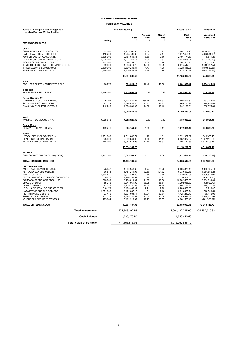| Funds - JP Morgan Asset Management,<br><b>Longview Partners (Global Equity)</b> | <b>Currency - Sterling</b> |                              |                        |                        | Report Date -                |                              |  |
|---------------------------------------------------------------------------------|----------------------------|------------------------------|------------------------|------------------------|------------------------------|------------------------------|--|
|                                                                                 |                            | Cost                         | Average<br><b>Cost</b> | <b>Market</b><br>Price | <b>Market</b><br>Value       | Unrealised<br>Gain/Loss      |  |
| <b>EMERGING MARKETS</b>                                                         | Holding                    | £                            | £                      | £                      | £                            | £                            |  |
| <u>China</u>                                                                    |                            |                              |                        |                        |                              |                              |  |
| CHINA MERCHANTS BK COM STK                                                      | 302,000                    | 1,913,262.98                 | 6.34                   | 5.97                   | 1,802,707.23                 | (110, 555.75)                |  |
| HAIER SMART HOME CO LTD-H                                                       | 410,200                    | 1,248,781.82                 | 3.04                   | 2.47                   | 1,012,450.13                 | (236, 331.69)                |  |
| KUNLUN ENERGY CO COMSTK                                                         | 3,308,000                  | 2,181,640.41                 | 0.66                   | 0.66                   | 2,191,171.67                 | 9,531.26                     |  |
| LENOVO GROUP LIMITED HKD0.025                                                   | 1,226,000                  | 1,237,255.14                 | 1.01                   | 0.83                   | 1,013,025.24                 | (224, 229.90)                |  |
| PICC PROPERTY & CA 'H'CNY1                                                      | 902,000                    | 624,554.18                   | 0.69                   | 0.78                   | 701,570.15                   | 77,015.97                    |  |
| TENCENT HLDGS LIMITED COMMON STOCK                                              | 99,600                     | 1,696,514.79                 | 17.03                  | 36.29                  | 3,614,542.38                 | 1,918,027.59                 |  |
| TINGYI(CAYMAN ISL) USD 0.005                                                    | 2,600,000                  | 3,809,235.34                 | 1.47                   | 1.28                   | 3,328,415.06                 | (480, 820.28)                |  |
| WANT WANT CHINA HO USD0.02                                                      | 4,945,000                  | 3,670,436.83                 | 0.74                   | 0.70                   | 3,472,122.68                 | (198, 314.15)                |  |
|                                                                                 |                            | 16,381,681.49                |                        |                        | 17,136,004.54                | 754,323.05                   |  |
| <u>India</u><br>ADR HDFC BK LTD ADR REPSTG 3 SHS                                | 60,778                     | 996,924.19                   | 16.40                  | 46.58                  | 2,831,059.47                 | 1,834,135.28                 |  |
| <u>Indonesia</u>                                                                |                            |                              |                        |                        |                              |                              |  |
| BK CENTRAL ASIA IDR12.50                                                        | 6,746,000                  | 2,619,698.87                 | 0.39                   | 0.42                   | 2,844,962.82                 | 225,263.95                   |  |
| Korea, Republic Of<br>LG ENERGY SOLUTION KRW500                                 | 6,109                      | 1,134,820.52                 | 185.76                 | 276.97                 | 1,692,004.32                 | 557,183.80                   |  |
| SAMSUNG ELECTRONIC KRW100                                                       | 61,123                     | 2,286,931.30                 | 37.42                  | 43.61                  | 2,665,771.83                 | 378,840.53                   |  |
| SAMSUNG ENGINEER KRW5000                                                        | 112.203                    | 1,638,231.07                 | 14.60                  | 16.42                  | 1.842.106.91                 | 203.875.84                   |  |
|                                                                                 |                            |                              |                        |                        |                              |                              |  |
|                                                                                 |                            | 5,059,982.89                 |                        |                        | 6,199,883.06                 | 1,139,900.17                 |  |
| Mexico<br>WAL-MART DE MEX COM NPV                                               | 1,525,618                  | 4,052,925.62                 | 2.66                   | 3.12                   | 4,759,887.02                 | 706,961.40                   |  |
| <b>South Africa</b><br>SIBANYE STILLWATER NPV                                   | 409,270                    | 808,754.36                   | 1.98                   | 3.11                   | 1,272,085.14                 | 463,330.78                   |  |
| <u>Taiwan</u>                                                                   |                            |                              |                        |                        |                              |                              |  |
| LITE-ON TECHNOLOGY TWD10                                                        | 1,951,000                  | 2,512,642.74                 | 1.29                   | 1.81                   | 3,521,977.89                 | 1,009,335.15                 |  |
| REALTEK SEMICOND TWD10                                                          | 345,000                    | 2,069,849.03                 | 6.00                   | 11.41                  | 3,937,082.32                 | 1,867,233.29                 |  |
| TAIWAN SEMICON MAN TWD10                                                        | 486,000                    | 6.048.073.93                 | 12.44                  | 15.83                  | 7,691,177.68                 | 1,643,103.75                 |  |
|                                                                                 |                            | 10,630,565.70                |                        |                        | 15,150,237.89                | 4,519,672.19                 |  |
| Thailand<br>SIAM COMMERCIAL BK THB10 (NVDR)                                     | 1,487,100                  | 3,883,203.30                 | 2.61                   | 2.60                   | 3,872,424.71                 | (10, 778.59)                 |  |
|                                                                                 |                            |                              |                        |                        |                              |                              |  |
| <b>TOTAL EMERGING MARKETS</b>                                                   |                            | 44,433,736.42                |                        |                        | 54,066,544.65                | 9,632,808.23                 |  |
| <b>UNITED KINGDOM</b>                                                           |                            |                              |                        |                        |                              |                              |  |
| ANGLO AMERICAN USD0.54945                                                       | 75,642                     | 1,530,943.35                 | 20.24                  | 39.73                  | 3,004,878.45                 | 1,473,935.10                 |  |
| ASTRAZENECA ORD USD0.25<br>BP ORD USD0.25                                       | 66,513<br>1,311,489        | 5,487,241.93<br>3,327,128.89 | 82.50<br>2.54          | 101.32<br>3.75         | 6,739,097.16                 | 1,251,855.23<br>1,595,545.07 |  |
| BRITISH AMERICAN TOBACCO ORD GBP0.25                                            | 36,279                     | 1,224,195.61                 | 33.74                  | 31.95                  | 4,922,673.96<br>1,158,932.66 |                              |  |
| COMPASS GROUP ORD GBP0.1105                                                     | 769,850                    | 8,768,510.91                 | 11.39                  | 16.50                  | 12,702,525.00                | (65, 262.95)<br>3,934,014.09 |  |
| DIAGEO ORD PLC                                                                  | 85,232                     | 3,344,961.02                 | 39.25                  | 38.64                  | 3,292,938.32                 | (52,022.70)                  |  |
| DIAGEO ORD PLC                                                                  | 93,381                     | 2,819,737.64                 | 30.20                  | 38.64                  | 3,607,774.94                 | 788,037.30                   |  |
| LEGAL & GENERAL GP ORD GBP0.025                                                 | 810,179                    | 2,196,468.41                 | 2.71                   | 2.72                   | 2,203,686.88                 | 7,218.47                     |  |
| NATWEST GROUP PLC ORD GBP1                                                      | 1,351,860                  | 2,172,067.15                 | 1.61                   | 2.16                   | 2,918,665.74                 | 746.598.59                   |  |
| RIO TINTO ORD GBP0.10                                                           | 23,470                     | 1,338,093.74                 | 57.01                  | 60.81                  | 1,427,210.70                 | 89,116.96                    |  |
| SHELL PLC ORD EUR0.07                                                           | 272,276                    | 3,295,221.51                 | 12.10                  | 21.09                  | 5,740,939.46                 | 2,445,717.95                 |  |
| WHITBREAD ORD GBP0.76797385                                                     | 173,664                    | 5,162,916.87                 | 29.73                  | 28.57                  | 4,961,580.48                 | (201, 336.39)                |  |
| TOTAL UNITED KINGDOM                                                            |                            | 40,667,487.03                |                        |                        | 52,680,903.75                | 12,013,416.72                |  |
| <b>Total Investments</b>                                                        |                            | 705,546,402.56               |                        |                        | 1,004,132,215.60             | 304, 157, 910. 33            |  |
|                                                                                 | <b>Cash Balance</b>        | 11,920,470.50                |                        |                        | 11,920,470.50                |                              |  |
| <b>Total Value of Portfolio</b>                                                 |                            | 717,466,873.06               |                        |                        | 1,016,052,686.10             |                              |  |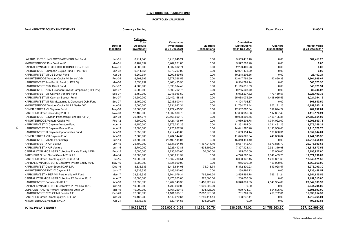#### PORTFOLIO VALUATION

### Fund - PRIVATE EQUITY INVESTMENTS CURRENTS Currency - Sterling Currency - Sterling Currency - Sterling Report Date - 31-03-22

|                                                       | Date of<br>Inception | <b>Estimated</b><br><b>Total</b><br>Approved<br>Investment<br>£ | Cumulative<br><b>Investments</b><br>@ 31 Dec 2021<br>£ | Quarters<br>Transactions<br>£ | Cumulative<br><b>Distributions</b><br>@ 31 Dec 2021<br>£ | Quarters<br><b>Transactions</b><br>£ | <b>Market Value</b><br>@ 31 Dec 2021 * |
|-------------------------------------------------------|----------------------|-----------------------------------------------------------------|--------------------------------------------------------|-------------------------------|----------------------------------------------------------|--------------------------------------|----------------------------------------|
| LAZARD US TECHNOLOGY PARTNERS 2nd Fund                | $Jan-01$             | 6,214,640                                                       | 6,216,640.24                                           | 0.00                          | 5,559,412.40                                             | 0.00                                 | 882,411.25                             |
| KNIGHTSBRIDGE Post Venture IV                         | Mar-01               | 6,462,852                                                       | 6,462,851.80                                           | 0.00                          | 5,372,562.28                                             | 0.00                                 | 0.00                                   |
| CAPITAL DYNAMICS UK HIGH TECHNOLOGY FUND              | May-01               | 4,000,000                                                       | 4,007,302.74                                           | 0.00                          | 2,293,409.28                                             | 0.00                                 | 0.00                                   |
| HARBOURVEST European Buyout Fund (HIPEP IV)           | $Jan-02$             | 6,811,851                                                       | 6,973,790.92                                           | 0.00                          | 12,921,475.29                                            | 0.00                                 | 0.00                                   |
| HARBOURVEST VII US Buyout Fund                        | Apr-03               | 5,260,384                                                       | 5,299,569.55                                           | 0.00                          | 10,218,206.56                                            | 0.00                                 | 25.162.24                              |
| KNIGHTSBRIDGE Venture Capital VI Series VXM           | Feb-05               | 6,291,696                                                       | 6,377,366.59                                           | 0.00                          | 12,017,799.59                                            | 140,899.38                           | 2,804,869.67                           |
| HARBOURVEST Asia Pacific Fund (HIPEP V)               | Mar-06               | 5,056,257                                                       | 5,466,435.93                                           | 0.00                          | 8,514,791.74                                             | 0.00                                 | 563,573.36                             |
| HARBOURVEST 2007 Direct Fund                          | Sep-07               | 4.900.000                                                       | 5.890.514.49                                           | 0.00                          | 11.115.015.59                                            | 0.00                                 | 345.921.94                             |
| HARBOURVEST 2007 European Buyout Companion (HIPEP V)  | Oct-07               | 5,000,000                                                       | 5,890,762.76                                           | 0.00                          | 9,265,508.70                                             | 0.00                                 | 83.338.97                              |
| HARBOURVEST VIII Cayman Venture Fund                  | Sep-07               | 2,450,000                                                       | 2,946,946.59                                           | 0.00                          | 5,972,237.82                                             | 170,459.57                           | 1,923,409.36                           |
| HARBOURVEST VIII Cayman Buyout Fund                   | Sep-07               | 24,500,000                                                      | 29,442,158.83                                          | 0.00                          | 55,038,075.59                                            | 1,498,955.56                         | 5,024,354.16                           |
| HARBOURVEST VIII US Mezzanine & Distressed Debt Fund  | Sep-07               | 2,450,000                                                       | 2,933,800.44                                           | 0.00                          | 4,124,704.37                                             | 0.00                                 | 301,640.50                             |
| KNIGHTSBRIDGE Venture Capital VII LP Series VC        | Apr-08               | 5,000,000                                                       | 5,234,642.34                                           | 0.00                          | 11,784,722.44                                            | 802.171.16                           | 10,159,785.14                          |
| DOVER STREET VII Cayman Fund                          | May-08               | 10,000,000                                                      | 11,727,495.90                                          | 0.00                          | 17,562,097.34                                            | 319,824.22                           | 484,697.81                             |
| PARTNERS Group Secondary 2008 LP                      | Nov-08               | 12,165,000                                                      | 11,602,530.76                                          | 0.00                          | 17,886,956.56                                            | 117.887.49                           | 1,119,176.24                           |
| HARBOURVEST Cayman Partnership Fund (HIPEP VI)        | Jun-08               | 29,687,775                                                      | 29.168.600.70                                          | 0.00                          | 40,008,596.46                                            | 3.490.195.86                         | 27,382,854.00                          |
| KNIGHTSBRIDGE Venture Capital VIII                    | Feb-12               | 4,500,000                                                       | 4,421,106.97                                           | 0.00                          | 3,989,203.78                                             | 1,014,022.09                         | 15,995,569.71                          |
| HARBOURVEST IX Cayman Venture Fund                    | Apr-13               | 6,150,000                                                       | 5.876.782.26                                           | 0.00                          | 11,251,464.04                                            | 1,231,491.15                         | 13,379,259.23                          |
| 5<br>HARBOURVEST IX Cayman Buyout Fund                | Apr-13               | 12,300,000                                                      | 10,925,857.52                                          | 0.00                          | 14,441,387.26                                            | 1,193,950.00                         | 11,915,570.75                          |
| HARBOURVEST IX Cayman Opportunities Fund              | Apr-13               | 2,050,000                                                       | 1,712,446.03                                           | 0.00                          | 1,689,114.44                                             | 139,698.31                           | 1,357,844.04                           |
| DOVER STREET VIII Cayman Fund                         | Apr-13               | 7.800.000                                                       | 7.204.944.03                                           | 0.00                          | 11.625.026.04                                            | 449.860.04                           | 1,744,185.33                           |
| HARBOURVEST VII AIF Partnership                       | Jun-14               | 23,500,000                                                      | 25,190,145.07                                          | 0.00                          | 15,810,441.10                                            | 0.00                                 | 38,215,655.93                          |
| <b>HARBOURVEST X AIF Buyout</b>                       | Jun-15               | 25,400,000                                                      | 18,831,064.95                                          | 1,167,244.10                  | 8,667,112.73                                             | 1,679,835.70                         | 26,075,699.65                          |
| <b>HARBOURVEST X AIF Venture</b>                      | Jun-15               | 12,700,000                                                      | 12,926,413.81                                          | 1,634,192.29                  | 7,397,128.43                                             | 2,921,319.98                         | 33,311,677.56                          |
| CAPITAL DYNAMICS LGPS Collective Private Equity 15/16 | Feb-15               | 5,000,000                                                       | 4,235,000.00                                           | 50,000.00                     | 1,325,000.00                                             | 150,000.00                           | 5,198,927.00                           |
| PARTNERS Group Global Growth 2014 LP                  | Mar-14               | 10,000,000                                                      | 9,303,211.59                                           | 0.00                          | 4,746,507.94                                             | 1,348,469.25                         | 19,071,996.82                          |
| PARTNERS Group Direct Equity 2016 (EUR) LP            | $Jul-15$             | 10,000,000                                                      | 10,562,730.51                                          | 0.00                          | 8,308,142.15                                             | 1,286,851.63                         | 12,646,571.56                          |
| CAPITAL DYNAMICS LGPS Collective Private Equity 16/17 | May-16               | 5,000,000                                                       | 3,825,000.00                                           | 0.00                          | 955.000.00                                               | 100,000.00                           | 4.369.669.00                           |
| HARBOURVEST Dover Street IX AIF L.P.                  | Dec-16               | 8,333,333                                                       | 6,413,684.08                                           | 75,018.74                     | 5,372,300.23                                             | 819.028.57                           | 5,976,290.30                           |
| KNIGHTSBRIDGE KVC IX Cayman LP                        | $Jan-17$             | 8,333,333                                                       | 5,185,080.65                                           | 0.00                          | 158,496.72                                               | 0.00                                 | 11,233,458.51                          |
| HARBOURVEST HIPEP VIII Partnership AIF Fund           | Mar-17               | 28,333,333                                                      | 12,704,079.34                                          | 765,191.24                    | 2,555,491.78                                             | 765.191.24                           | 19,654,615.55                          |
| CAPITAL DYNAMICS LGPS Collective PE Vehicle 17/18     | Apr-17               | 10,000,000                                                      | 7,475,000.00                                           | 375,000.00                    | 200,000.00                                               | 0.00                                 | 9,451,515.00                           |
| HARBOURVEST Partners XI AIF LP                        | Apr-18               | 33,333,333                                                      | 15,267,149.38                                          | 1,456,729.75                  | 6,348,061.35                                             | 4,143,954.89                         | 23,642,303.99                          |
| CAPITAL DYNAMICS LGPS Collective PE Vehicle 18/19     | Oct-18               | 10.000.000                                                      | 4.700.000.00                                           | 1.000.000.00                  | 0.00                                                     | 0.00                                 | 5,644,705.00                           |
| LGPS CENTRAL PE Primary Partnership 2018 LP           | Mar-19               | 10.000.000                                                      | 5,161,269.43                                           | 804,423.96                    | 939.734.97                                               | 504,595.69                           | 6,391,893.00                           |
| HARBOURVEST 2020 Global Feeder AIF                    | $Sep-20$             | 32,083,333                                                      | 11, 181, 393. 13                                       | 2,857,976.88                  | 751,761.93                                               | 469,702.01                           | 15,039,054.59                          |
| PARTNERS Group Direct Equity 2019 Fund                | Oct-20               | 10.183.280                                                      | 4,542,079.67                                           | 1.280.114.14                  | 108.232.11                                               | 0.00                                 | 4.910.364.01                           |
| KNIGHTSBRIDGE Venture KVC X                           | Apr-21               | 8,333,333                                                       | 620, 164.53                                            | 403,299.69                    | 0.00                                                     | 0.00                                 | 792,887.83                             |
| <b>TOTAL PRIVATE EQUITY</b>                           |                      | 419,583,735                                                     | 333.906.013.54                                         | 11,869,190.79                 | 336.295.179.02                                           | 24,758,363.80                        | 337.120.909.00                         |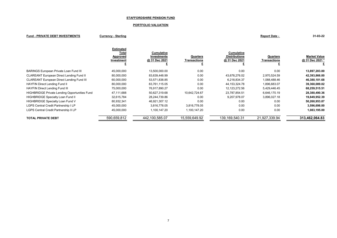#### PORTFOLIO VALUATION

#### Fund - PRIVATE DEBT INVESTMENTS Currency - Sterling Currency - Sterling Report Date - 31-03-22

| ort Date - |  |  |
|------------|--|--|
|            |  |  |

|                                                      | <b>Estimated</b><br>Total<br>Approved<br>Investment | Cumulative<br><b>Investments</b><br>@ 31 Dec 2021 | Quarters<br><b>Transactions</b> | <b>Cumulative</b><br><b>Distributions</b><br>@ 31 Dec 2021 | Quarters<br>Transactions | <b>Market Value</b><br>@ 31 Dec 2021 |
|------------------------------------------------------|-----------------------------------------------------|---------------------------------------------------|---------------------------------|------------------------------------------------------------|--------------------------|--------------------------------------|
| <b>BARINGS European Private Loan Fund III</b>        | 45,000,000                                          | 13,500,000.00                                     | 0.00                            | 0.00                                                       | 0.00                     | 13,897,203.00                        |
| <b>CLAREANT European Direct Lending Fund II</b>      | 80,000,000                                          | 83,639,448.99                                     | 0.00                            | 43,678,276.02                                              | 2,970,524.59             | 42,393,866.00                        |
| <b>CLAREANT European Direct Lending Fund III</b>     | 60,000,000                                          | 53,571,838.85                                     | 0.00                            | 6.218.834.37                                               | 1,088,488.46             | 46,380,101.68                        |
| <b>HAYFIN Direct Lending Fund II</b>                 | 80,000,000                                          | 83,761,115.05                                     | 0.00                            | 44, 153, 324. 78                                           | 1,896,683.07             | 39,360,089.02                        |
| <b>HAYFIN Direct Lending Fund III</b>                | 75.000.000                                          | 76.917.890.27                                     | 0.00                            | 12.123.272.56                                              | 5,429,446.45             | 68,259,515.51                        |
| <b>HIGHBRIDGE Private Lending Opportunities Fund</b> | 47,111,688                                          | 50,627,319.68                                     | 10.642.724.67                   | 23,787,854.51                                              | 6,646,170.19             | 28,380,490.36                        |
| HIGHBRIDGE Specialty Loan Fund II                    | 32,615,784                                          | 28,244,739.86                                     | 0.00                            | 9,207,978.07                                               | 3.896.027.18             | 19,849,952.39                        |
| HIGHBRIDGE Specialty Loan Fund V                     | 80.932.341                                          | 46,921,307.12                                     | 0.00                            | 0.00                                                       | 0.00                     | 50,260,953.87                        |
| LGPS Central Credit Partnership I LP                 | 45,000,000                                          | 3,816,778.05                                      | 3,816,778.05                    | 0.00                                                       | 0.00                     | 3,596,698.00                         |
| LGPS Central Credit Partnership II LP                | 45,000,000                                          | 1,100,147.20                                      | 1,100,147.20                    | 0.00                                                       | 0.00                     | 1,083,195.00                         |
| <b>TOTAL PRIVATE DEBT</b>                            | 590,659,812                                         | 442,100,585.07                                    | 15,559,649.92                   | 139, 169, 540. 31                                          | 21,927,339.94            | 313,462,064.83                       |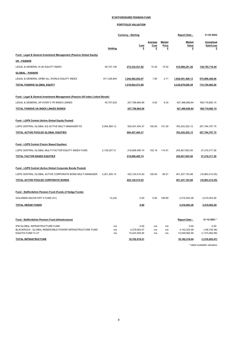## PORTFOLIO VALUATION

|                                                                              |                | <b>Currency - Sterling</b>    |                      |                                    | <b>Report Date -</b>          | 31-03-2022                      |
|------------------------------------------------------------------------------|----------------|-------------------------------|----------------------|------------------------------------|-------------------------------|---------------------------------|
|                                                                              | <b>Holding</b> | <b>Cost</b><br>£              | Average<br>Cost<br>£ | <b>Market</b><br><b>Price</b><br>£ | Market<br><b>Value</b><br>£   | Unrealised<br>Gain/Loss<br>£    |
| Fund - Legal & General Investment Management (Passive Global Equity)         |                |                               |                      |                                    |                               |                                 |
| UK PASSIVE                                                                   |                |                               |                      |                                    |                               |                                 |
| LEGAL & GENERAL N UK EQUITY INDEX                                            | 26,747,100     | 275,332,531.82                | 10.29                | 15.52                              | 415,088,251.26                | 139,755,719.44                  |
| <b>GLOBAL - PASSIVE</b>                                                      |                |                               |                      |                                    |                               |                                 |
| LEGAL & GENERAL GPBE ALL WORLD EQUITY INDEX                                  | 671,326,844    | 1,244,592,042.07              | 1.85                 | 2.71                               | 1,820,591,408.13              | 575,999,366.06                  |
| <b>TOTAL PASSIVE GLOBAL EQUITY</b>                                           |                | 1,519,924,573.89              |                      |                                    | 2,235,679,659.39              | 715,755,085.50                  |
| Fund - Legal & General Investment Management (Passive UK Index Linked Bonds) |                |                               |                      |                                    |                               |                                 |
| LEGAL & GENERAL AP OVER 5 YR INDEX-LINKED                                    | 45,757,633     | 257,768,964.69                | 5.63                 | 9.34                               | 427,488,856.84                | 169,719,892.15                  |
| <b>TOTAL PASSIVE UK INDEX LINKED BONDS</b>                                   |                | 257,768,964.69                |                      |                                    | 427,488,856.84                | 169,719,892.15                  |
| Fund - LGPS Central (Active Global Equity Pooled)                            |                |                               |                      |                                    |                               |                                 |
| LGPS CENTRAL GLOBAL EQ ACTIVE MULTI MANAGER FD                               | 5,054,584.12   | 505,457,404.37                | 100.00               | 151.00                             | 763,242,202.12                | 257,784,797.75                  |
| TOTAL ACTIVE POOLED GLOBAL EQUITIES                                          |                | 505,457,404.37                |                      |                                    | 763,242,202.12                | 257,784,797.75                  |
| <b>Fund - LGPS Central (Factor Based Equities)</b>                           |                |                               |                      |                                    |                               |                                 |
| LGPS CENTRAL GLOBAL MULTI FACTOR EQUITY INDEX FUND                           | 2,139,307.31   | 218,608,485.74                | 102.19               | 114.91                             | 245,827,803.00                | 27,219,317.26                   |
| TOTAL FACTOR BASED EQUITIES                                                  |                | 218,608,485.74                |                      |                                    | 245,827,803.00                | 27,219,317.26                   |
| Fund - LGPS Central (Active Global Corporate Bonds Pooled)                   |                |                               |                      |                                    |                               |                                 |
| LGPS CENTRAL GLOBAL ACTIVE CORPORATE BOND MULTI MANAGER                      | 4,201,205.15   | 420,120,515.93                | 100.00               | 95.51                              | 401,257,103.88                | (18,863,412.05)                 |
| TOTAL ACTIVE POOLED CORPORATE BONDS                                          |                | 420,120,515.93                |                      |                                    | 401,257,103.88                | (18, 863, 412.05)               |
| Fund - Staffordshire Pension Fund (Funds of Hedge Funds)                     |                |                               |                      |                                    |                               |                                 |
| GOLDMAN SACHS HFP II FUND (H1)                                               | 13,232         | 0.00                          | 0.00                 | 189.69                             | 2,510,003.26                  | 2,510,003.26                    |
| <b>TOTAL HEDGE FUNDS</b>                                                     |                | 0.00                          |                      |                                    | 2,510,003.26                  | 2,510,003.26                    |
| Fund - Staffordshire Pension Fund (Infrastructure)                           |                |                               |                      |                                    | <b>Report Date -</b>          | 31-12-2021 *                    |
| IFM GLOBAL INFRASTRUCTURE FUND                                               | n/a            | 0.00                          | n/a                  | n/a                                | 0.00                          | 0.00                            |
| BLACKROCK - GLOBAL RENEWABLE POWER INFRASTRUCTURE FUND<br>EQUITIX FUND VI LP | n/a<br>n/a     | 4,279,063.57<br>15,423,455.94 | n/a<br>n/a           | n/a<br>n/a                         | 4,142,323.09<br>14,049,992.95 | (136, 740.48)<br>(1,373,462.99) |
| <b>TOTAL INFRASTRUCTURE</b>                                                  |                | 19,702,519.51                 |                      |                                    | 18,192,316.04                 | (1,510,203.47)                  |

\* latest available valuation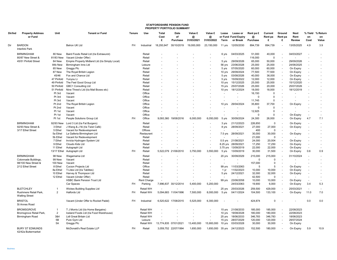#### STAFFORDSHIRE PENSION FUND PROPERTY PORTFOLIO SUMMARY

| Dir/Ind | <b>Property Address</b><br>or Fund             | Unit                | <b>Tenant or Fund</b>                                           | Tenure    | Use                | Total<br>Cost<br>£ | Date<br>of<br>Purchase | Value £<br>@<br>31/03/2021 | Value £<br>$^{\circ}$<br>31/03/2022 | Lease<br>Term | Lease or<br>or Fund Fund Expiry<br>or Break | Rent pa £<br>$\omega$<br>Purchase | Current<br>Rent pa<br>£ | Ground<br>Rent pa<br>£   | Next<br>Rent<br><b>Review</b> | % Yield<br>on<br>Cost | % Return<br>on<br>Value |
|---------|------------------------------------------------|---------------------|-----------------------------------------------------------------|-----------|--------------------|--------------------|------------------------|----------------------------|-------------------------------------|---------------|---------------------------------------------|-----------------------------------|-------------------------|--------------------------|-------------------------------|-----------------------|-------------------------|
| Dir     | <b>BARDON</b><br><b>Interlink Park</b>         |                     | <b>Belron UK Ltd</b>                                            | <b>FH</b> | Industrial         | 18,293,947         | 30/10/2019             | 19,000,000                 | 23,150,000                          | 11 vrs        | 12/05/2030                                  | 894,739                           | 894,739                 |                          | 13/05/2025                    | 4.9                   | 3.9                     |
|         | <b>BIRMINGHAM</b><br>80/87 New Street &        | 80 New<br>81/83 New | Baird Foods Retail Ltd (t/a Extrawurst)<br>Vacant (Under Offer) |           | Retail<br>Retail   |                    |                        |                            |                                     | 6 yrs         | 04/03/2025                                  | 51,000<br>116,000                 | 40,000<br>$\Omega$      | $\sim$                   | 04/03/2027                    |                       |                         |
|         | 45/51 Pinfold Street                           | 84 New              | Empire Property Midland Ltd (t/a Simply Local)                  |           | Retail             |                    |                        |                            |                                     | 5 yrs         | 29/09/2026                                  | 65,000                            | 50,000                  | $\sim$                   | 29/09/2026                    |                       |                         |
|         |                                                | 84b New             | Birmingham Inns Ltd                                             |           | Leisure            |                    |                        |                            |                                     | 56 yrs        | 23/06/2028                                  | 25,000                            | 25,000                  | $\sim$                   | 24/06/2025                    |                       |                         |
|         |                                                | 85 New              | Greggs Plc                                                      |           | Retail             |                    |                        |                            |                                     | 5 yrs         | 07/05/2020                                  | 60,000                            | 60,000                  | $\sim$                   | On Expiry                     |                       |                         |
|         |                                                | 87 New              | The Royal British Legion                                        |           | Retail             |                    |                        |                            |                                     | 10 yrs        | 29/09/2024                                  | 77,500                            | 77,500                  | $\sim$                   | On Expiry                     |                       |                         |
|         |                                                | 45/46               | Fox and Chance Ltd                                              |           | Retail             |                    |                        |                            |                                     | 5 yrs         | 03/08/2026                                  | 40,000                            | 36,000                  | $\overline{\phantom{a}}$ | On Expiry                     |                       |                         |
|         |                                                | 47 Pinfold          | Yunyou Li                                                       |           | Retail             |                    |                        |                            |                                     | 5 yrs         | 15/09/2022                                  | 12,000                            | 12,000                  | $\blacksquare$           | On Expiry                     |                       |                         |
|         |                                                | 49 Pinfold          | The Feel Good Group Ltd                                         |           | Retail             |                    |                        |                            |                                     | 10 yrs        | 15/12/2025                                  | 25,000                            | 25,000                  | $\sim$                   | 15/12/2020                    |                       |                         |
|         |                                                | 50 Pinfold          | <b>GBC1 Consulting Ltd</b>                                      |           | Retail             |                    |                        |                            |                                     | 15 yrs        | 25/07/2026                                  | 25,000                            | 20,000                  | $\blacksquare$           | 25/07/2026                    |                       |                         |
|         |                                                | 51 Pinfold          | Nine Three's Ltd (t/a Mail Boxes etc)                           |           | Retail             |                    |                        |                            |                                     | 10 yrs        | 18/12/2024                                  | 18,000                            | 18,000                  | $\blacksquare$           | 18/12/2019                    |                       |                         |
|         |                                                | Pt 3rd              | Vacant                                                          |           | Office             |                    |                        |                            |                                     |               |                                             | 16,150                            | $\Omega$                |                          |                               |                       |                         |
|         |                                                | Pt 3rd              | Vacant                                                          |           | Office             |                    |                        |                            |                                     |               | $\sim$                                      | $\Omega$                          | $\Omega$                |                          |                               |                       |                         |
|         |                                                | Pt 3rd              | Vacant                                                          |           | Office             |                    |                        |                            |                                     |               |                                             | 11,745                            | $\Omega$                |                          |                               |                       |                         |
|         |                                                | Pt 2nd              | The Royal British Legion                                        |           | Office             |                    |                        |                            |                                     | 10 vrs        | 29/04/2024                                  | 35,800                            | 37,700                  |                          | On Expiry                     |                       |                         |
|         |                                                | Pt 2nd              | Vacant                                                          |           | Office             |                    |                        |                            |                                     |               |                                             | $\Omega$                          | $\Omega$                |                          |                               |                       |                         |
|         |                                                | Pt 1st              | Vacant                                                          |           | Office             |                    |                        |                            |                                     |               |                                             | 12,925                            | $\Omega$                |                          |                               |                       |                         |
|         |                                                | Pt 1st              | Vacant                                                          |           | Office             |                    |                        |                            |                                     |               |                                             | $\mathbf 0$                       | $\Omega$                | ÷.                       | On Expiry                     | ÷.                    |                         |
|         |                                                | Pt 1st              | People Solutions Group Ltd                                      | <b>FH</b> | Office             | 9.093.360          | 19/08/2016             | 6.000.000                  | 6.050.000                           | 5 vrs         | 30/09/2024                                  | 24,300                            | 26,000                  |                          | On Expiry                     | 4.7                   | 7.1                     |
|         | <b>BIRMINGHAM</b>                              | 92/93 New           | Lord 3 Ltd (t/a Fat Burgers)                                    |           | Retail             |                    |                        |                            |                                     | 3 yrs         | 21/12/2023                                  | 226,850                           | 0                       | ÷.                       | On Expiry                     | ÷,                    |                         |
|         | 92/93 New Street &                             | 3 Ethel             | J Wang & J Ni (t/a Twist Café)                                  |           | Retail             |                    |                        |                            |                                     | 8 yrs         | 28/09/2021                                  | 27,000                            | 27,000                  | $\overline{\phantom{a}}$ | On Expiry                     |                       |                         |
|         | 3/17 Ethel Street                              | 5 Ethel             | Vacant for Redevelopment                                        |           | Offices            |                    |                        |                            |                                     |               |                                             | 400                               | $\Omega$                |                          |                               |                       |                         |
|         |                                                | 5a Ethel            | La Galleria Birmingham Ltd                                      |           | Restaurant         |                    |                        |                            |                                     | $7.5$ yrs     | 28/09/2021                                  | 30,000                            | 30,000                  |                          | On Expiry                     |                       |                         |
|         |                                                | 5b Ethel            | Vacant for Redevelopment                                        |           | Retail             |                    |                        |                            |                                     |               |                                             | 21,000                            | $\mathbf 0$             | $\overline{a}$           |                               |                       |                         |
|         |                                                | 7 Ethel             | Invicta Hydrogen System Ltd                                     |           | Retail             |                    |                        |                            |                                     |               | 0.5 yrs 21/08/2021                          | 24,000                            | 20,004                  | ÷.                       | On Expiry                     |                       |                         |
|         |                                                | 9 Ethel             | Cloudo Kids Ltd                                                 |           | Retail             | $\sim$             |                        |                            |                                     | 8.25 yrs      | 28/09/2021                                  | 17,250                            | 17,250                  | $\blacksquare$           | On Expiry                     | $\overline{a}$        |                         |
|         |                                                | 11 Ethel            | Autograph Ltd                                                   |           | Retail             |                    |                        |                            |                                     | 3.75 yrs      | 13/09/2019                                  | 22,000                            | 22,000                  | $\overline{\phantom{a}}$ | On Expiry                     |                       |                         |
|         |                                                | 13/17 Ethel         | Autograph Ltd                                                   | <b>FH</b> | Retail             |                    | 5,522,079 21/06/2010   | 3,750,000                  | 3,550,000                           | 5 yrs         | 13/09/2019                                  | 30,000                            | 31,500                  | $\overline{\phantom{a}}$ | On Expiry                     | 0.6                   | 0.9                     |
|         | <b>BIRMINGHAM</b>                              | 98 New              | Wagamama Ltd                                                    |           | Retail             |                    |                        |                            |                                     | 20 yrs        | 30/09/2029                                  | 215,000                           | 215.000                 | $\sim$                   | 01/10/2024                    |                       |                         |
|         | Colonnade Buildings.                           | 99 New              | Vacant                                                          |           | Retail             |                    |                        |                            |                                     |               |                                             | $\Omega$                          | $\Omega$                |                          |                               |                       |                         |
|         | 98/100 New Street &                            | <b>100 New</b>      | Vacant                                                          |           | Retail             |                    |                        |                            |                                     |               |                                             | 157,000                           | $\mathbf 0$             | $\overline{\phantom{a}}$ |                               |                       |                         |
|         | 2/12 Ethel Street                              | 8 Ethel             | Curzon Projects Ltd                                             |           | Office             |                    |                        |                            |                                     | 99 vrs        | 11/03/2063                                  | 5                                 | 5                       | $\sim$                   | On Expiry                     |                       |                         |
|         |                                                | 8a Ethel            | T-Lites Ltd (t/a Tablites)                                      |           | Retail             |                    |                        |                            |                                     | 1 yr          | 11/02/2023                                  | 10,000                            | 10,000                  |                          | On Expiry                     |                       |                         |
|         |                                                | 10 Ethel            | Harvey & Thompson Ltd                                           |           | Retail             |                    |                        |                            |                                     | 5 yrs         | 24/12/2021                                  | 32,000                            | 32,000                  | $\overline{\phantom{a}}$ | On Expiry                     |                       |                         |
|         |                                                | 12 Ethel            | Vacant (Under Offer)                                            |           | Retail             |                    |                        |                            |                                     |               |                                             | 42,500                            | 0                       | $\sim$                   |                               |                       |                         |
|         |                                                |                     | HSBC Bank Pension Trust Ltd                                     |           | <b>Rent Charge</b> |                    |                        |                            |                                     | 99 yrs        | 23/06/2058                                  | 10,000                            | 10,000                  | $\overline{\phantom{a}}$ | On Expiry                     |                       |                         |
|         |                                                |                     | Car Spaces                                                      | FH        | Parking            |                    | 7,996,837 30/12/2014   | 5,400,000                  | 5,200,000                           |               | 24/03/2063                                  | 19,900                            | 6,000                   | $\sim$                   | On Expiry                     | 3.4                   | 5.3                     |
|         | <b>BLETCHLEY</b>                               | $\mathbf{1}$        | Wickes Building Supplies Ltd                                    |           | <b>Retail WH</b>   |                    |                        |                            |                                     | 25 yrs        | 25/03/2026                                  | 259,500                           | 429,000                 |                          | 25/03/2021                    | ÷.                    |                         |
|         | Rushmere Retail Park,<br><b>Watling Street</b> | $\overline{2}$      | <b>Halfords Ltd</b>                                             | FH        | <b>Retail WH</b>   |                    | 5,094,683 11/04/1996   | 7,500,000                  | 8,000,000                           | 5 yrs         | 04/11/2024                                  | 104,500                           | 133,100                 |                          | On Expiry                     | 11.0                  | 7.0                     |
|         | <b>BRISTOL</b><br>St Annes Road                |                     | Vacant (Under Offer to Rocket Padel)                            | <b>FH</b> | Industrial         |                    | 6,520,622 17/08/2015   | 5,525,000                  | 6,300,000                           |               |                                             | 424,874                           | $\mathbf 0$             |                          |                               | 0.0                   | 0.0                     |
|         | <b>BROMSGROVE</b>                              | -1                  | T J Morris Ltd (t/a Home Bargains)                              |           | <b>Retail WH</b>   |                    |                        |                            |                                     | 15 yrs        | 21/08/2033                                  | 185,000                           | 185,000                 | $\sim$                   | 22/08/2023                    |                       |                         |
|         | Bromsgrove Retail Park                         | 2                   | Iceland Foods Ltd (t/a Food Warehouse)                          |           | <b>Retail WH</b>   |                    |                        |                            | $\overline{\phantom{a}}$            | 10 yrs        | 19/08/2028                                  | 180,000                           | 180,000                 | $\sim$                   | 22/08/2023                    |                       |                         |
|         | Birmingham Road                                | 3&4                 | Lidl Great Britain Ltd                                          |           | <b>Retail WH</b>   |                    |                        |                            |                                     | 25 yrs        | 18/06/2033                                  | 346,783                           | 346,783                 | $\sim$                   | 18/06/2023                    |                       |                         |
|         |                                                | 5B                  | Pure Gym Ltd                                                    |           | Leisure            |                    |                        |                            |                                     | 15 yrs        | 28/07/2029                                  | 120,000                           | 120,000                 | $\sim$                   | 29/07/2024                    |                       |                         |
|         |                                                | 5A                  | Greggs Plc                                                      |           | <b>Retail WH</b>   |                    | 13,774,835 07/01/2021  | 13,400,000                 | 15,900,000                          | 10 yrs        | 03/03/2028                                  | 30,000                            | 30,000                  | $\overline{\phantom{a}}$ | On Expiry                     |                       |                         |
|         |                                                |                     |                                                                 |           |                    |                    |                        |                            |                                     |               |                                             |                                   |                         |                          |                               |                       |                         |
|         | <b>BURY ST EDMUNDS</b>                         |                     | McDonald's Real Estate LLP                                      | <b>FH</b> | Retail             |                    | 3,059,752 22/07/1994   | 1,650,000                  | 1,650,000                           | 35 yrs        | 24/12/2023                                  | 152,500                           | 180,000                 |                          | On Expiry                     | 5.9                   | 10.9                    |

42/42a Buttermarket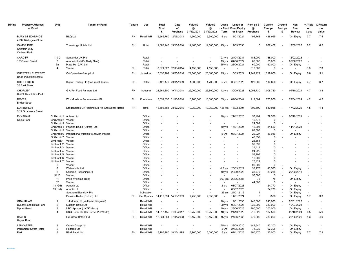| Dir/Ind | <b>Property Address</b><br>or Fund                | Unit                                    | <b>Tenant or Fund</b>                              | Tenure    | Use              | Total<br>Cost<br>£    | Date<br>of<br>Purchase | Value £<br>@<br>31/03/2021 | Value £<br>@<br>31/03/2022 | Lease<br>Term            | Lease or<br>or Fund Fund Expiry<br>or Break | Rent pa £<br>@<br>Purchase | Current<br>Rent pa<br>£ | Ground<br>Rent pa<br>£         | Next<br>Rent<br><b>Review</b> | % Yield<br>on<br>Cost    | % Return<br>on<br>Value |
|---------|---------------------------------------------------|-----------------------------------------|----------------------------------------------------|-----------|------------------|-----------------------|------------------------|----------------------------|----------------------------|--------------------------|---------------------------------------------|----------------------------|-------------------------|--------------------------------|-------------------------------|--------------------------|-------------------------|
|         | <b>BURY ST EDMUNDS</b><br>45/47 Risbygate Street  |                                         | <b>B&amp;Q Ltd</b>                                 | FH        | <b>Retail WH</b> |                       | 5,666,760 12/06/2013   | 4,900,000                  | 5,900,000                  | 5 yrs                    | 11/01/2024                                  | 491,763                    | 438,955                 | $\sim$                         | On Expiry                     | 7.7                      | 7.4                     |
|         | CAMBRIDGE<br>Chieftain Way<br><b>Orchard Park</b> |                                         | Travelodge Hotels Ltd                              | FH.       | Hotel            |                       | 11,386,246 15/10/2010  | 14,100,000                 | 14,500,000 25 yrs          |                          | 11/09/2036                                  | $\Omega$                   | 937.462                 |                                | 12/09/2026                    | 8.2                      | 6.5                     |
|         | <b>CARDIFF</b><br>1/7 Queen Street                | 1&2<br>3                                | Santander UK Plc<br>Anabatic Ltd (t/a Thirty Nine) |           | Retail<br>Retail |                       |                        |                            |                            | 23 yrs<br>15 yrs         | 24/04/2031<br>04/06/2022                    | 188,000<br>85,000          | 188,000<br>55,000       | $\sim$                         | 12/02/2023<br>05/06/2022      | ÷.                       |                         |
|         |                                                   | За<br>$\Delta$                          | Pizza Hut (UK) Ltd<br>Vacant                       | FH.       | Retail<br>Retail |                       | 8,371,527 02/05/2014   | 4,150,000                  | 4,150,000                  | 35 yrs                   | 23/06/2021<br>$\sim$                        | 60,000<br>318,000          | 60,000<br>$\mathbf 0$   | $\sim$<br>ä,                   | On Expiry                     | $\sim$<br>3.6            | 7.3                     |
|         |                                                   |                                         |                                                    |           |                  |                       |                        |                            |                            |                          |                                             |                            |                         |                                |                               |                          |                         |
|         | CHESTER-LE-STREET<br>Drum Industrial Estate       |                                         | Co-Operative Group Ltd                             | <b>FH</b> | Industrial       |                       | 18,335,769 18/05/2016  | 21,800,000                 | 23,800,000                 | 15 yrs                   | 15/03/2024                                  | 1,149,922                  | 1,219,000               |                                | On Expiry                     | 6.6                      | 5.1                     |
|         | <b>CHICHESTER</b><br>30 East Street               |                                         | Signet Trading Ltd (t/a Ernest Jones)              | FH.       | Retail           |                       | 2,422,179 29/01/1999   | 1,600,000                  | 1,700,000                  | 5 yrs                    | 30/01/2023                                  | 120,000                    | 114,650                 |                                | On Expiry                     | 4.7                      | 6.7                     |
|         | <b>CHORLEY</b><br>Unit 9. Revolution Park         |                                         | G A Pet Food Partners Ltd                          | FH.       | Industrial       |                       | 21,564,300 19/11/2018  | 22,000,000                 | 26,800,000                 | 12 yrs                   | 30/09/2028                                  | 1,008,730                  | 1,008,730               |                                | 01/10/2021                    | 4.7                      | 3.8                     |
|         | <b>DOVER</b><br><b>Bridge Street</b>              |                                         | Wm Morrison Supermarkets Plc                       | FH        | Foodstore        |                       | 18,059,355 31/03/2010  | 16,700,000                 | 18,000,000 35 yrs          |                          | 09/04/2044                                  | 912,604                    | 750,000                 |                                | 29/04/2024                    | 4.2                      | 4.2                     |
|         | <b>EDINBURGH</b><br>5/21 Grosvenor Street         |                                         | Dragonglass UK Holding Ltd (t/a Grosvenor Hotel)   | FH.       | Hotel            |                       | 18,598,181 28/07/2015  | 19,050,000                 | 19,050,000 125 yrs         |                          | 16/02/2094                                  | 802,500                    | 840,038                 |                                | 17/02/2025                    | 4.5                      | 4.4                     |
|         | <b>EYNSHAM</b>                                    | Chilbrook 1 Adlens Ltd                  |                                                    |           | Office           |                       |                        |                            |                            | 10 yrs                   | 21/12/2026                                  | 57,494                     | 79,536                  |                                | 06/10/2021                    |                          |                         |
|         | Oasis Park                                        | Chilbrook 2 Vacant                      |                                                    |           | Office           |                       |                        |                            |                            |                          |                                             | 40,573                     | $\Omega$                |                                |                               |                          |                         |
|         |                                                   | Chilbrook 3 Vacant                      |                                                    |           | Office           |                       |                        |                            |                            |                          |                                             | 24,589                     | $\Omega$                |                                |                               |                          |                         |
|         |                                                   |                                         | Chilbrook 4 Passion Radio (Oxford) Ltd             |           | Office           |                       |                        |                            |                            | 10 yrs                   | 14/01/2024                                  | 42,898                     | 34,550                  |                                | 14/01/2024                    |                          |                         |
|         |                                                   | Chilbrook 5 Vacant                      |                                                    |           | Office           |                       |                        |                            |                            |                          |                                             | 89,508                     | 0                       |                                |                               |                          |                         |
|         |                                                   |                                         | Chilbrook 6 International Mission to Jewish People |           | Office           |                       |                        |                            |                            | 5 yrs                    | 08/07/2024                                  | 22,927                     | 36,036                  |                                | On Expiry                     |                          |                         |
|         |                                                   | Chilbrook 7 Vacant<br>Limbrook 1 Vacant |                                                    |           | Office<br>Office |                       |                        |                            |                            |                          | $\sim$                                      | 43,859<br>23,554           | $\Omega$<br>$\mathbf 0$ |                                |                               |                          |                         |
|         |                                                   | Limbrook 2 Vacant                       |                                                    |           | Office           |                       |                        |                            |                            |                          |                                             | 30,699                     | $\Omega$                |                                |                               |                          |                         |
|         |                                                   | Limbrook 3                              | Vacant                                             |           | Office           |                       |                        |                            |                            |                          |                                             | 27,411                     | $\Omega$                |                                |                               |                          |                         |
|         |                                                   | Limbrook 4                              | Vacant                                             |           | Office           |                       |                        |                            |                            |                          |                                             | 24,225                     | $\Omega$                |                                |                               |                          |                         |
|         |                                                   | Limbrook 5                              | Vacant                                             |           | Office           |                       |                        |                            |                            |                          |                                             | 58,998                     | $\Omega$                |                                |                               |                          |                         |
|         |                                                   | Limbrook 6                              | Vacant                                             |           | Office           |                       |                        |                            |                            |                          |                                             | 16,909                     | $\Omega$                |                                |                               |                          |                         |
|         |                                                   | Limbrook 7                              | Vacant                                             |           | Office           |                       |                        |                            |                            |                          |                                             | 20,424                     | $\Omega$                |                                |                               |                          |                         |
|         |                                                   | 6                                       | Vacant                                             |           | Office           |                       |                        |                            |                            |                          |                                             | 90,000                     | $\mathbf 0$             |                                |                               |                          |                         |
|         |                                                   | $\overline{7}$                          | Waterslade Ltd                                     |           | Office           |                       |                        |                            |                            | $0.5$ yrs                | 25/03/2021                                  | 33,770                     | 43,565                  | ÷.                             | On Expiry                     |                          |                         |
|         |                                                   | 8                                       | <b>Usborne Publishing Ltd</b>                      |           | Office           |                       |                        |                            |                            | 10 yrs                   | 28/09/2023                                  | 33,770                     | 39,288                  |                                | 29/09/2018                    |                          |                         |
|         |                                                   | 9&10<br>11                              | Vacant<br><b>Philip Williams Trust</b>             |           | Office<br>Office |                       |                        |                            |                            | 999 yrs                  | 23/06/2986                                  | 57,500<br>75               | $\Omega$<br>75          | ÷.<br>$\overline{\phantom{a}}$ | On Expiry                     |                          |                         |
|         |                                                   | 12                                      | Vacant                                             |           | Office           |                       |                        |                            |                            |                          |                                             | 44,000                     | $\Omega$                |                                |                               |                          |                         |
|         |                                                   | 13 (Gd)                                 | Adaptix Ltd                                        |           | Office           |                       |                        |                            |                            | 2 yrs                    | 08/07/2023                                  |                            | 24,770                  | $\overline{\phantom{a}}$       | On Expiry                     |                          |                         |
|         |                                                   | 13 (1st)                                | Adaptix Ltd                                        |           | Office           |                       |                        |                            |                            |                          | 08/07/2023                                  |                            | 24,770                  | $\overline{\phantom{a}}$       | On Expiry                     |                          |                         |
|         |                                                   |                                         | Southern Electricity Plc                           |           | Substation       |                       |                        |                            |                            | $125$ yrs                | 24/01/2116                                  | -1                         | -1                      | $\blacksquare$                 | On Expiry                     | $\overline{\phantom{a}}$ |                         |
|         |                                                   |                                         | Passion Radio (Oxford) Ltd                         | FH.       | Car Spaces       |                       | 14,419,594 14/10/1999  | 7,450,000                  | 7,850,000                  | $\overline{\phantom{a}}$ | 14/01/2024                                  | $\Omega$                   | 2500                    | $\sim$                         | On Expiry                     | 1.7                      | 3.3                     |
|         | <b>GRANTHAM</b>                                   | $\overline{1}$                          | T J Morris Ltd (t/a Home Bargains)                 |           | Retail WH        |                       |                        |                            |                            | 10 yrs                   | 19/01/2030                                  | 240,000                    | 240,000                 | $\sim$                         | 20/01/2025                    | $\overline{a}$           |                         |
|         | Dysart Road Retail Park                           | $\overline{2}$                          | Matalan Retail Ltd                                 |           | <b>Retail WH</b> |                       |                        |                            |                            | 20 yrs                   | 09/07/2026                                  | 330,000                    | 330,000                 | $\blacksquare$                 | 10/07/2021                    | $\overline{\phantom{a}}$ |                         |
|         | <b>Dysart Road</b>                                | 3                                       | NBC Apparel (t/a TK Maxx)                          |           | Retail WH        |                       |                        |                            |                            | 19 yrs                   | 23/06/2025                                  | 200,000                    | 200,000                 |                                | On Expiry                     | $\sim$                   |                         |
|         |                                                   | $\overline{4}$                          | DSG Retail Ltd (t/a Currys PC World)               | FH        | <b>Retail WH</b> | 14,817,455 01/03/2017 |                        | 13,750,000                 | 16,250,000                 | 10 yrs                   | 24/10/2029                                  | 212,829                    | 187,500                 |                                | 25/10/2024                    | 6.5                      | 5.9                     |
|         | <b>HAYES</b><br>Hayes Road                        |                                         | Lidl Great Britain Ltd                             | FH.       | Retail WH        |                       | 16,831,854 07/01/2008  | 13,150,000                 | 18,450,000                 | 15 yrs                   | 24/06/2036                                  | 779,000                    | 730,000                 | $\overline{a}$                 | 25/06/2026                    | 4.3                      | 4.0                     |
|         | LANCASTER                                         | $\mathbf{1}$                            | Currys Group Ltd                                   |           | <b>Retail WH</b> |                       |                        |                            |                            | 25 yrs                   | 28/09/2020                                  | 149,540                    | 183,200                 |                                | On Expiry                     |                          |                         |
|         | <b>Parliament Street Retail</b>                   | $\overline{2}$                          | Halfords Ltd                                       |           | Retail WH        |                       |                        |                            |                            | 5 yrs                    | 27/05/2026                                  | 74,930                     | 97,305                  | $\overline{a}$                 | On Expiry                     | $\sim$                   |                         |
|         | Park                                              | 3                                       | <b>B&amp;M Retail Ltd</b>                          | FH.       | Retail WH        |                       | 5,106,960 18/12/1995   | 3,900,000                  | 5,000,000                  | 5 yrs                    | 02/11/2026                                  | 100,170                    | 115,000                 |                                | On Expiry                     | 7.7                      | 7.9                     |
|         |                                                   |                                         |                                                    |           |                  |                       |                        |                            |                            |                          |                                             |                            |                         |                                |                               |                          |                         |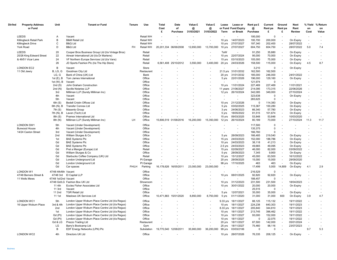| Dir/Ind | <b>Property Address</b><br>or Fund | Unit                 | <b>Tenant or Fund</b>                             | Tenure    | Use        | Total<br>Cost<br>£    | Date<br>of<br>Purchase | Value £<br>@<br>31/03/2021 | Value £<br>@<br>31/03/2022 | Lease<br>Term | Lease or<br>or Fund Fund Expiry<br>or Break | Rent pa £<br>@<br>Purchase | Current<br>Rent pa<br>£ | Ground<br>Rent pa<br>£   | <b>Next</b><br>Rent<br>Review | % Yield<br>on<br>Cost    | % Return<br>on<br>Value |
|---------|------------------------------------|----------------------|---------------------------------------------------|-----------|------------|-----------------------|------------------------|----------------------------|----------------------------|---------------|---------------------------------------------|----------------------------|-------------------------|--------------------------|-------------------------------|--------------------------|-------------------------|
|         | LEEDS                              | Α                    | Vacant                                            |           | Retail WH  |                       |                        |                            |                            |               |                                             | 195,000                    | $\mathbf 0$             |                          |                               |                          |                         |
|         | Killingbeck Retail Park            | B                    | <b>B&amp;M Retail Ltd</b>                         |           | Retail WH  |                       |                        |                            |                            | 10 yrs        | 14/07/2023                                  | 195,700                    | 200,000                 | ÷,                       | On Expiry                     | ٠                        |                         |
|         | <b>Killingbeck Drive</b>           | C                    | <b>B&amp;Q Ltd</b>                                |           | Retail WH  |                       |                        |                            |                            | 10 yrs        | 27/07/2027                                  | 197,340                    | 202,400                 | $\sim$                   | 28/07/2022                    | ÷.                       |                         |
|         | York Road                          | D                    | <b>B&amp;Q Ltd</b>                                | <b>FH</b> | Retail WH  |                       | 20,201,334 06/06/2008  | 12,650,000                 | 13,700,000                 | 10 yrs        | 27/07/2027                                  | 604,750                    | 604,750                 | $\sim$                   | 28/07/2022                    | 5.0                      | 7.4                     |
|         | LEEDS                              | 20                   | Cooper Bros Business Group Ltd (t/a Vintage Bros) |           | Retail     |                       |                        |                            |                            | TaW           |                                             | 91,250                     | 35,880                  | ÷.                       | On Expiry                     | ÷,                       |                         |
|         | 20/26 King Edward Street           | 22                   | Airwair International Ltd (t/a Dr Martens)        |           | Retail     | ÷.                    |                        |                            |                            | 10 yrs        | 22/07/2024                                  | 95,000                     | 70,000                  | $\overline{\phantom{a}}$ | On Expiry                     | ÷.                       |                         |
|         | & 49/51 Vicar Lane                 | 24                   | VF Northern Europe Services Ltd (t/a Vans)        |           | Retail     |                       |                        |                            |                            | 15 yrs        | 03/10/2023                                  | 105,000                    | 75,000                  | $\sim$                   | On Expiry                     | ÷.                       |                         |
|         |                                    | 26                   | JD Sports Fashion Plc (t/a The Hip Store)         |           | Retail     |                       | 6,561,408 25/10/2012   | 3,550,000                  | 3,400,000                  | 20 yrs        | 24/03/2026                                  | 158,500                    | 115,000                 | $\sim$                   | On Expiry                     | 4.5                      | 8.7                     |
|         | <b>LONDON EC2</b>                  | B                    | Vacant                                            |           | Store      |                       |                        |                            |                            |               |                                             | 3,210                      | $\mathbf 0$             | ÷,                       | On Expiry                     |                          |                         |
|         | 11 Old Jewry                       | B, LG, G             | Goodman City Ltd                                  |           | Restaurant |                       |                        |                            |                            |               | 21.5 yrs 31/01/2032                         | 162,500                    | 162,500                 | ÷,                       |                               |                          |                         |
|         |                                    | LG, G                | Bank of China (UK) Ltd                            |           | Bank       |                       |                        |                            |                            | 20 yrs        | 31/01/2032                                  | 185,000                    | 246,000                 |                          | 24/01/2022                    |                          |                         |
|         |                                    | 1st $(E)$ , B        | Tom James International                           |           | Office     |                       |                        |                            |                            | 5 yrs         | 22/01/2026                                  | 196,000                    | 129,160                 |                          | On Expiry                     |                          |                         |
|         |                                    | 1st (W), B           | Vacant                                            |           | Office     |                       |                        |                            |                            |               |                                             | 121.974                    | $\Omega$                |                          |                               |                          |                         |
|         |                                    | 2nd(S)               | John Graham Construction                          |           | Office     |                       |                        |                            |                            | 10 yrs        | 11/01/2024                                  | 227,469                    | 227,469                 | ä,                       | 11/01/2021                    |                          |                         |
|         |                                    | 2nd(N)               | Saville Notaries LLP                              |           | Office     |                       |                        |                            |                            | 11 years      | 21/06/2027                                  | 214,095                    | 173,315                 | ÷,                       | 22/06/2026                    |                          |                         |
|         |                                    | 3rd                  | Milliman LLP (Surety Milliman Inc)                |           | Office     |                       |                        |                            |                            | 12 yrs        | 26/10/2024                                  | 342,085                    | 349,000                 | ÷.                       | 27/10/2024                    |                          |                         |
|         |                                    | 4th                  | Vacant                                            |           | Office     |                       |                        |                            |                            |               |                                             | 323,638                    | $\mathbf 0$             | ÷.                       | On Expiry                     |                          |                         |
|         |                                    | 5th                  | Vacant                                            |           | Office     |                       |                        |                            |                            |               |                                             | 265,625                    | 0                       | ÷,                       |                               |                          |                         |
|         |                                    | 6th(S)               | <b>Bedell Cristin Offices Ltd</b>                 |           | Office     |                       |                        |                            |                            | 10 yrs        | 21/12/2026                                  | $\Omega$                   | 114,383                 | $\sim$                   | On Expiry                     |                          |                         |
|         |                                    | 6th (N), B           | <b>Transfer Connex Ltd</b>                        |           | Office     |                       |                        |                            |                            | 5 yrs         | 03/02/2025                                  | 115,367                    | 100,280                 |                          | On Expiry                     |                          |                         |
|         |                                    | 7th(S)               | Masento Group                                     |           | Office     |                       |                        |                            |                            | 3 yrs         | 24/06/2023                                  | 66.340                     | 57,780                  | $\omega$                 | On Expiry                     |                          |                         |
|         |                                    | 7th (N), B           | Laven (Tech) Ltd                                  |           | Office     |                       |                        |                            |                            | 5 yrs         | 18/05/2022                                  | 81,515                     | 101,674                 | $\tilde{\phantom{a}}$    | On Expiry                     | ä,                       |                         |
|         |                                    | 8th(S)               | Pramex International Ltd                          |           | Office     |                       |                        |                            |                            | 15 yrs        | 09/03/2025                                  | 53,848                     | 53,848                  | $\blacksquare$           | 10/03/2020                    | $\overline{\phantom{a}}$ |                         |
|         |                                    | 8th (N)              | Milliman LLP (Surety Milliman Inc)                | LH        | Office     | 15,806,519            | 01/08/2016             | 16,200,000                 | 15,350,000                 | 12 yrs        | 26/10/2024                                  | 80,189                     | 73,000                  | J.                       | 27/10/2024                    | 11.3                     | 11.7                    |
|         | <b>LONDON SW1</b>                  | 5th                  | Vacant (Under Development)                        |           | Office     |                       |                        |                            |                            |               |                                             | 117,500                    | 0                       |                          |                               |                          |                         |
|         | <b>Burwood House</b>               | 4th                  | Vacant (Under Development)                        |           | Office     |                       |                        |                            |                            |               |                                             | 135,375                    | $\Omega$                |                          |                               |                          |                         |
|         | 14/24 Caxton Street                | 3rd                  | Vacant (Under Development)                        |           | Office     |                       |                        |                            |                            |               |                                             | 166,760                    | $\Omega$                |                          |                               |                          |                         |
|         |                                    | 2 <sub>nd</sub>      | William Sturges & Co                              |           | Office     |                       |                        |                            |                            | 5 yrs         | 28/09/2023                                  | 166,485                    | 219,540                 | J.                       | On Expiry                     |                          |                         |
|         |                                    | 1st                  | <b>BAE Systems Plc</b>                            |           | Office     |                       |                        |                            |                            | 15 yrs        | 24/03/2023                                  | 152,000                    | 188.786                 | ÷,                       | On Expiry                     |                          |                         |
|         |                                    | Gd                   | <b>BAE Systems Plc</b>                            |           | Office     |                       |                        |                            |                            | 10 yrs        | 24/03/2023                                  | 38,118                     | 41,213                  | $\omega$                 | On Expiry                     |                          |                         |
|         |                                    | Gd                   | <b>BAE Systems Plc</b>                            |           | Office     |                       |                        |                            |                            | $2.5$ yrs     | 24/03/2023                                  | 49,665                     | 49,095                  | $\mathbf{r}$             | On Expiry                     |                          |                         |
|         |                                    | Gd                   | Pret a Manger (Europe) Ltd                        |           | Retail     |                       |                        |                            |                            | 15 yrs        | 02/09/2027                                  | 46,000                     | 82,000                  | $\sim$                   | 03/09/2022                    |                          |                         |
|         |                                    | Gd                   | William Sturges & Co                              |           | Office     |                       |                        |                            |                            | 5 yrs         | 28/09/2023                                  | 7,345                      | 9,900                   | $\omega$                 | On Expiry                     | $\ddot{\phantom{1}}$     |                         |
|         |                                    | Gd                   | Starbucks Coffee Company (UK) Ltd                 |           | Retail     |                       |                        |                            |                            | 10 yrs        | 15/12/2027                                  | 45,000                     | 63,500                  | $\omega$                 | 16/12/2022                    |                          |                         |
|         |                                    | Gd                   | London Underground Ltd                            |           | Pt Garage  |                       |                        |                            |                            | 20 yrs        | 28/09/2025                                  | 15,000                     | 15,000                  | $\omega$                 | 29/09/2020                    |                          |                         |
|         |                                    | Gd                   | London Underground Ltd                            |           | Pt Garage  |                       |                        |                            |                            | 98 yrs        | 17/10/2025                                  | 463                        | 463                     | J.                       | On Expiry                     |                          |                         |
|         |                                    | Gd                   | Car spaces                                        | FH/LH     | Parking    | 16,178,626            | 16/05/2011             | 23,000,000                 | 23,000,000                 |               |                                             | 17,499                     | 5,000                   | 14,809                   | On Expiry                     | 4.1                      | 2.9                     |
|         | <b>LONDON W1</b>                   | 47/48 4th/6th Vacant |                                                   |           | Office     |                       |                        |                            |                            |               |                                             | 216,529                    | $\mathsf 0$             |                          |                               |                          |                         |
|         | 47/48 Berners Street &             |                      | 47/48 3rd El Capital LLP                          |           | Office     |                       |                        |                            |                            | 10 yrs        | 08/01/2025                                  | 92,820                     | 92,820                  | ÷,                       | On Expiry                     |                          |                         |
|         | 11 Wells Mews                      | 47/48 1st/2nd Vacant |                                                   |           | Office     |                       |                        |                            |                            |               |                                             | 188,457                    | $\mathbf 0$             | ÷,                       |                               |                          |                         |
|         |                                    |                      | 47/48 Gd/LG Fashion Box UK Ltd                    |           | Showroom   |                       |                        |                            |                            | 10 yrs        | 31/12/2023                                  | 231,500                    | 231,500                 | $\blacksquare$           | 18/04/2023                    |                          |                         |
|         |                                    | 11 4th               | Eccles Fisher Associates Ltd                      |           | Office     |                       |                        |                            |                            | 10 yrs        | 30/01/2022                                  | 20,000                     | 20,000                  | $\sim$                   | On Expiry                     |                          |                         |
|         |                                    | 11 3rd               | Vacant                                            |           | Office     |                       |                        |                            |                            |               |                                             | 25,515                     | $\Omega$                | ÷,                       |                               |                          |                         |
|         |                                    | 11 2nd               | <b>TGR Retail Ltd</b>                             |           | Office     |                       |                        |                            |                            | 5 yrs         | 12/07/2021                                  | 35,000                     | 35,000                  | $\sim$                   | On Expiry                     | $\overline{\phantom{a}}$ |                         |
|         |                                    | 11 1st               | Maslows UK Services Ltd                           |           | Office     | 10,471,883            | 15/01/2020             | 8,850,000                  | 8,750,000                  | 5 yrs         | 01/11/2020                                  | 31,000                     | 31,000                  | 600                      | On Expiry                     | 3.9                      | 4.7                     |
|         | <b>LONDON WC1</b>                  | 5th                  | London Upper Woburn Place Centre Ltd (t/a Regus)  |           | Office     |                       |                        |                            | ÷,                         | 9.33 yrs      | 18/11/2027                                  | 88,125                     | 115,132                 | $\omega$                 | 19/11/2022                    |                          |                         |
|         | 16 Upper Woburn Place              | 3rd & 4th            | London Upper Woburn Place Centre Ltd (t/a Regus)  |           | Office     |                       |                        |                            |                            | 10 yrs        | 18/11/2027                                  | 224,238                    | 640.303                 | $\sim$                   | 19/11/2023                    |                          |                         |
|         |                                    | 2nd                  | London Upper Woburn Place Centre Ltd (t/a Regus)  |           | Office     |                       |                        |                            |                            | 8.33 yrs      | 18/11/2027                                  | 205,840                    | 344,810                 | $\omega$                 | 19/11/2023                    |                          |                         |
|         |                                    | 1st                  | London Upper Woburn Place Centre Ltd (t/a Regus)  |           | Office     |                       |                        |                            |                            | 10 yrs        | 18/11/2027                                  | 213,745                    | 396,462                 | $\omega$                 | 19/11/2022                    |                          |                         |
|         |                                    | Gd (Pt)              | London Upper Woburn Place Centre Ltd (t/a Regus)  |           | Office     |                       |                        |                            |                            | 10 yrs        | 18/11/2027                                  | 93,000                     | 152,000                 | ä,                       | 19/11/2022                    |                          |                         |
|         |                                    | Gd (Pt)              | London Upper Woburn Place Centre Ltd (t/a Regus)  |           | Office     |                       |                        |                            |                            | 10 yrs        | 18/11/2027                                  | $\Omega$                   | 22,075                  | $\sim$                   | 19/11/2022                    |                          |                         |
|         |                                    | Gd & LG              | Prezzo Trading Ltd                                |           | Restaurant |                       |                        |                            |                            | 20 yrs        | 18/11/2027                                  | 87,500                     | 142,000                 | $\omega$                 | 05/01/2024                    | ÷.                       |                         |
|         |                                    | LG                   | Barry's Bootcamp Ltd                              |           | Gym        |                       |                        |                            |                            | 25 yrs        | 18/11/2027                                  | 75,460                     | 98,116                  | $\blacksquare$           | 23/07/2023                    | $\ddot{\phantom{1}}$     |                         |
|         |                                    | В                    | EDF Energy Networks (LPN) Plc                     |           | Substation | 19,770,540 12/08/2011 |                        | 35,900,000                 | 36,200,000                 | 99 yrs        | 03/03/2106                                  | $\Omega$                   | $\Omega$                |                          |                               | 9.7                      | 5.3                     |
|         | <b>LONDON WC2</b>                  | 4th                  | Directors UK Ltd                                  |           | Office     |                       |                        |                            |                            | 10 yrs        | 28/07/2026                                  | 76,335                     | 208,125                 |                          | On Expiry                     |                          |                         |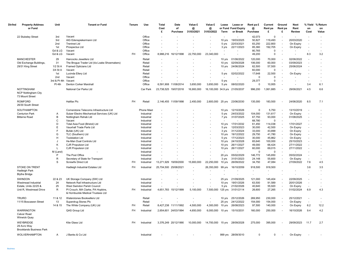| Dir/Ind | <b>Property Address</b><br>or Fund                                 | Unit         | <b>Tenant or Fund</b>                                          | Tenure    | Use                      | Total<br>Cost<br>£    | Date<br>of<br>Purchase | Value £<br>@<br>31/03/2021 | Value £<br>@<br>31/03/2022 | Lease<br>Term      | Lease or<br>or Fund Fund Expiry<br>or Break | Rent pa £<br>@<br>Purchase | Current<br>Rent pa<br>£ | Ground<br>Rent pa<br>£   | <b>Next</b><br>Rent<br><b>Review</b> | % Yield<br>on<br>Cost    | % Return<br>on<br>Value |
|---------|--------------------------------------------------------------------|--------------|----------------------------------------------------------------|-----------|--------------------------|-----------------------|------------------------|----------------------------|----------------------------|--------------------|---------------------------------------------|----------------------------|-------------------------|--------------------------|--------------------------------------|--------------------------|-------------------------|
|         | 22 Stukeley Street                                                 | 3rd          | Vacant                                                         |           | Office                   |                       |                        |                            |                            |                    |                                             | 42,073                     | $\Omega$                | ä,                       |                                      |                          |                         |
|         |                                                                    | 3rd          | AIG Edenspiekermann Ltd                                        |           | Office                   |                       |                        |                            |                            | 10 yrs             | 19/03/2025                                  | 50,827                     | 119,493                 | ÷,                       | 20/03/2020                           |                          |                         |
|         |                                                                    | 2nd          | <b>Trentnet Ltd</b>                                            |           | Office                   |                       |                        |                            |                            | 5 yrs              | 22/03/2021                                  | 83,250                     | 222,800                 | ä,                       | On Expiry                            |                          |                         |
|         |                                                                    | 1st          | Prospectus Ltd                                                 |           | Office                   | ÷.                    |                        |                            |                            | 3 yrs              | 22/11/2023                                  | 85,360                     | 192,705                 | ä,                       | On Expiry                            | $\sim$                   |                         |
|         |                                                                    | Gd & LG      | Vacant                                                         |           | Office                   |                       |                        |                            |                            |                    |                                             | 80,765                     | $\mathsf 0$             | ä,                       |                                      |                          |                         |
|         |                                                                    | Gd & LG      | Vacant                                                         | <b>FH</b> | Office                   | 8,988,216             | 16/12/1998             | 22,750,000                 | 23,340,000                 | $\overline{a}$     |                                             | 49,200                     | $\mathbf 0$             | ä,                       |                                      | 8.3                      | 3.2                     |
|         | <b>MANCHESTER</b>                                                  | 29           | Hancocks Jewellers Ltd                                         |           | Retail                   |                       |                        |                            |                            | 10 yrs             | 01/06/2022                                  | 120,000                    | 70,000                  | $\sim$                   | 02/06/2022                           | ÷.                       |                         |
|         | Old Exchange Buildings,                                            | 31           | The Broque Trader Ltd (t/a Loake Shoemakers)                   |           | Retail                   |                       |                        |                            |                            | 10 yrs             | 02/09/2028                                  | 106,000                    | 60,000                  | $\sim$                   | 03/09/2023                           |                          |                         |
|         | 29/31 King Street                                                  | $1/2$ St A   | <b>Framed Opticians Ltd</b>                                    |           | Retail                   |                       |                        |                            |                            | 10 yrs             | 24/06/2024                                  | 62,500                     | 57,500                  | $\blacksquare$           | 25/06/2024                           |                          |                         |
|         |                                                                    | 3/4 St A     | Vacant                                                         |           | Retail                   |                       |                        |                            |                            |                    |                                             | 60,000                     | $\Omega$                | ÷.                       |                                      |                          |                         |
|         |                                                                    | 1st          | Lucinda Ellery Ltd                                             |           | Retail                   |                       |                        |                            |                            | 5 yrs              | 02/02/2022                                  | 17,648                     | 22,500                  | $\overline{\phantom{a}}$ | On Expiry                            |                          |                         |
|         |                                                                    | 2nd          | Vacant                                                         |           | Office                   |                       |                        |                            |                            |                    |                                             | $\Omega$                   | $\Omega$                |                          |                                      |                          |                         |
|         |                                                                    | 3rd & Pt 4th | Vacant                                                         |           | Office                   |                       |                        |                            |                            | 5 yrs              |                                             | 29,377                     | 0                       |                          |                                      |                          |                         |
|         |                                                                    | Pt 4th       | Denton Corker Marshall                                         |           | Office                   |                       | 6,591,908 11/08/2014   | 3,650,000                  | 3,650,000                  | 5 yrs              | 08/02/2020                                  | $\Omega$                   | 10,955                  |                          |                                      | 3.4                      | 6.1                     |
|         | <b>NOTTINGHAM</b><br><b>NCP Nottingham City</b><br>73 Mount Street |              | National Car Parks Ltd                                         |           | Car Park                 | 23,738,525 19/07/2018 |                        | 16,900,000                 |                            |                    | 16,100,000 34.9 yrs 21/05/2037              | 996,200                    | 1,061,885               |                          | 29/06/2021                           | 4.5                      | 6.6                     |
|         | <b>ROMFORD</b><br>26/30 South Street                               |              | <b>Halifax Plc</b>                                             | <b>FH</b> | Retail                   |                       | 2,146,455 11/09/1998   | 2,450,000                  | 2,600,000 25 yrs           |                    | 23/06/2030                                  | 135,000                    | 183,500                 |                          | 24/06/2020                           | 8.5                      | 7.1                     |
|         | SOUTHAMPTON                                                        |              | Cornerstone Telecoms Infrastructure Ltd                        |           | <b>Phone Mast</b>        |                       |                        |                            |                            | 10 yrs             | 12/10/2026                                  | $\Omega$                   | 5,750                   | ÷,                       | 13/10/2019                           |                          |                         |
|         | <b>Centurion Park</b>                                              | Α            | Sulzer Electro Mechanical Services (UK) Ltd                    |           | Industrial               |                       |                        |                            |                            | 5 yrs              | 24/03/2022                                  | 104,000                    | 131,617                 | $\overline{\phantom{a}}$ | On Expiry                            | ä,                       |                         |
|         | <b>Bitterne Road</b>                                               | В            | Nottingham Rehab Ltd                                           |           | Industrial               |                       |                        |                            |                            | 7 yrs              | 31/07/2025                                  | 67,750                     | 93,000                  | $\sim$                   | 01/08/2025                           |                          |                         |
|         |                                                                    | C            | Vacant                                                         |           | Industrial               |                       |                        |                            |                            |                    |                                             | 68,780                     | $\Omega$                |                          |                                      |                          |                         |
|         |                                                                    | D            | Total Asia Food (Bristol) Ltd                                  |           | Industrial               |                       |                        |                            |                            | 10 yrs             | 17/01/2032                                  | 61,450                     | 114,038                 | $\blacksquare$           | 17/01/2027                           |                          |                         |
|         |                                                                    | E            | Vauxhall Trade Parts Ltd                                       |           | Industrial               |                       |                        |                            |                            | 5 yrs              | 12/03/2023                                  | 30,000                     | 42.500                  | ä,                       | On Expiry                            |                          |                         |
|         |                                                                    | F            | Bufab (UK) Ltd                                                 |           | Industrial               |                       |                        |                            |                            | 3 yrs              | 31/12/2024                                  | 33,000                     | 43,899                  | $\sim$                   | On Expiry                            |                          |                         |
|         |                                                                    | G            | TLC (Southern) Ltd                                             |           | Industrial               |                       |                        |                            |                            | 10 yrs             | 19/12/2022                                  | 29,750                     | 41,780                  | $\blacksquare$           | On Expiry                            |                          |                         |
|         |                                                                    | н<br>J       | <b>Toolstation Ltd</b><br>He-Man Dual Controls Ltd             |           | Industrial               |                       |                        |                            |                            | 5 yrs              | 17/12/2023<br>24/10/2028                    | 30,000<br>65,640           | 45,862<br>100,000       | ä,<br>ä,                 | On Expiry<br>25/10/2023              |                          |                         |
|         |                                                                    | Κ            | <b>CJR Propulsion Ltd</b>                                      |           | Industrial<br>Industrial |                       |                        |                            |                            | 10 yrs<br>10 yrs   | 26/11/2027                                  | 49,000                     | 66,424                  | $\sim$                   | 27/11/2022                           |                          |                         |
|         |                                                                    |              | <b>CJR Propulsion Ltd</b>                                      |           | Industrial               |                       |                        |                            |                            | 10 yrs             | 26/11/2027                                  | 60,000                     | 69,015                  | $\mathbf{r}$             | 27/11/2022                           |                          |                         |
|         |                                                                    | M (Land)     |                                                                |           | Industrial               |                       |                        |                            |                            |                    |                                             | $\Omega$                   | $\Omega$                |                          |                                      |                          |                         |
|         |                                                                    | P            | The Post Office                                                |           | Industrial               | ÷.                    |                        |                            |                            | 20 yrs             | 05/02/2029                                  | 146,772                    | 145,850                 | ä,                       | 05/02/2024                           | ÷,                       |                         |
|         |                                                                    | $\mathsf{R}$ | Secretary of State for Transport                               |           | Industrial               |                       |                        |                            |                            | 3 yrs              | 31/01/2023                                  | 24,148                     | 55,600                  | ä,                       | On Expiry                            | ÷,                       |                         |
|         |                                                                    | S            | <b>Screwfix Direct Ltd</b>                                     | <b>FH</b> | Industrial               | 13,271,929            | 19/09/2000             | 15,900,000                 | 22,250,000                 | 10 yrs             | 26/09/2022                                  | 34,750                     | 47,084                  |                          | 27/09/2022                           | 7.6                      | 4.5                     |
|         | STOKE ON TRENT                                                     |              | Hadleigh Industrial Estates Ltd                                | <b>FH</b> | Industrial               | 25,704,500 25/08/2021 |                        |                            | 26,350,000                 | 99 yrs             | 16/10/2059                                  | 918,500                    | 918,500                 |                          |                                      | 3.6                      | 3.5                     |
|         | <b>Hadleigh Park</b>                                               |              |                                                                |           |                          |                       |                        |                            |                            |                    |                                             |                            |                         |                          |                                      | $\sim$                   | $\sim$                  |
|         | <b>Blythe Bridge</b>                                               |              |                                                                |           |                          |                       |                        |                            |                            |                    |                                             | $\sim$                     |                         |                          |                                      |                          |                         |
|         |                                                                    |              |                                                                |           |                          |                       |                        |                            |                            |                    |                                             |                            |                         |                          |                                      |                          |                         |
|         | <b>SWINDON</b>                                                     | 22 & 23      | UK Storage Company (SW) Ltd                                    |           | Industrial               |                       |                        |                            |                            | 25 vrs             | 21/09/2025                                  | 121,000                    | 145,404                 | ÷.                       | 22/09/2025                           | ÷,                       |                         |
|         | Westmead Industrial<br>Estate, Units 22/25 &                       | 24<br>25     | Network Rail Infrastructure Ltd<br>West Swindon Parish Council |           | Industrial<br>Industrial |                       |                        |                            |                            | 10 yrs             | 19/01/2026<br>21/02/2026                    | 63,500                     | 91,589<br>55,920        | $\mathbf{r}$             | 20/01/2026                           | ä,                       |                         |
|         | Unit R, Westmead Drive                                             | R.           | PI Crouch, MA Clarke, PA Hopkins,                              | <b>FH</b> | Industrial               |                       | 4,651,783 15/12/1999   | 5,100,000                  | 7,500,000                  | 5 yrs<br>$125$ yrs | 31/01/2114                                  | 40,640<br>26,600           | 27,265                  | $\overline{\phantom{a}}$ | On Expiry<br>01/02/2024              | 6.9                      | 4.3                     |
|         |                                                                    |              | & Hornbuckle Medical Trustees Ltd                              |           |                          |                       |                        |                            |                            |                    |                                             |                            |                         |                          |                                      |                          |                         |
|         | <b>TRURO</b>                                                       | 11 & 12      | Waterstones Booksellers Ltd                                    |           | Retail                   |                       |                        |                            |                            | 10 yrs             | 25/12/2026                                  | 269,950                    | 230,000                 | $\blacksquare$           | 25/12/2021                           | ÷,                       |                         |
|         | 11/15 Boscawen Street                                              | 13           | Superdrug Stores Plc                                           |           | Retail                   |                       |                        |                            |                            | 25 yrs             | 24/12/2022                                  | 154,000                    | 154,000                 | $\sim$                   | On Expiry                            | $\overline{\phantom{a}}$ |                         |
|         |                                                                    | 14 & 15      | The White Company (UK) Ltd                                     | <b>FH</b> | Retail                   |                       | 8,427,238 11/11/1992   | 4,500,000                  | 4,300,000                  | 10 yrs             | 26/08/2023                                  | 97,500                     | 140,000                 | $\blacksquare$           | On Expiry                            | 6.2                      | 12.2                    |
|         | <b>WARRINGTON</b><br><b>Calver Road</b><br><b>Winwick Quay</b>     |              | QAS Group Ltd                                                  | <b>FH</b> | Industrial               |                       | 2,654,601 24/03/1994   | 4,650,000                  | 6,000,000                  | 10 yrs             | 15/10/2031                                  | 160,000                    | 250,000                 |                          | 16/10/2026                           | 9.4                      | 4.2                     |
|         | WEYBRIDGE<br>29 Avro Way<br><b>Brooklands Business Park</b>        |              | Kite Glass Ltd                                                 | FH.       | Industrial               |                       | 3,376,249 20/12/1990   | 10,000,000                 | 14,700,000                 | 15 vrs             | 28/09/2028                                  | 275,000                    | 395,000                 |                          | 29/09/2023                           | 11.7                     | 2.7                     |
|         | <b>WOLVERHAMPTON</b>                                               | A            | J Banks & Co Ltd                                               |           | Industrial               |                       |                        |                            |                            |                    | 999 yrs 28/09/3010                          | $\mathbf 0$                | 0                       |                          | On Expiry                            |                          |                         |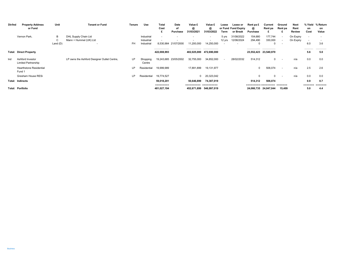| Dir/Ind | <b>Property Address</b><br>or Fund             | Unit                 | <b>Tenant or Fund</b>                          | Tenure    | Use                                    | Total<br>Cost<br>£               | Date<br>οf<br>Purchase | Value £<br>@<br>31/03/2021           | Value £<br>@<br>31/03/2022                  | Lease<br>Term   | Lease or<br>or Fund Fund Expiry<br>or Break | Rent pa £<br>@<br>Purchase                 | Current<br>Rent pa    | Ground<br>Rent pa                                           | Next<br>Rent<br>Review | % Yield<br>on<br>Cost                                       | % Return<br>on<br>Value |
|---------|------------------------------------------------|----------------------|------------------------------------------------|-----------|----------------------------------------|----------------------------------|------------------------|--------------------------------------|---------------------------------------------|-----------------|---------------------------------------------|--------------------------------------------|-----------------------|-------------------------------------------------------------|------------------------|-------------------------------------------------------------|-------------------------|
|         | Vernon Park,                                   | B<br>C<br>Land $(D)$ | DHL Supply Chain Ltd<br>Mann + Hummel (UK) Ltd | <b>FH</b> | Industrial<br>Industrial<br>Industrial | 8,530,984                        | 21/07/2000             | 11,200,000                           | $\overline{\phantom{a}}$<br>٠<br>14,250,000 | 5 vrs<br>12 yrs | 31/08/2022<br>12/06/2024                    | 154,680<br>294,490                         | 177,744<br>330,000    | $\overline{\phantom{a}}$<br>$\overline{\phantom{a}}$<br>. . | On Expiry<br>On Expiry | $\overline{\phantom{a}}$<br>$\overline{\phantom{a}}$<br>6.0 | 3.6                     |
|         | <b>Total: Direct Property</b>                  |                      |                                                |           |                                        | -----------------<br>422.008.993 |                        | -----------------<br>402.025.000     | -----------------<br>472.690.000            |                 |                                             | -----------------<br>23,552,423 23,540,970 | ---------------       |                                                             |                        | ----------<br>5.6                                           | -----------<br>5.0      |
| Ind     | Ashford Investor<br><b>Limited Partnership</b> |                      | LP owns the Ashford Designer Outlet Centre,    | LP        | Shopping<br>Centre                     |                                  | 19,243,685 23/05/2002  | 32,755,000                           | 34.852.000                                  |                 | 28/02/2032                                  | 514,312                                    | 0                     |                                                             | n/a                    | 0.0                                                         | 0.0                     |
|         | <b>Hearthstone Residential</b><br>Fund 1       |                      |                                                | LP        | Residential                            | 19,999,989                       |                        | 17,891,899                           | 19,131,977                                  |                 |                                             | 0                                          | 506,074               | $\sim$                                                      | n/a                    | 2.5                                                         | 2.6                     |
|         | Gresham House RESi                             |                      |                                                | LP        | Residential                            | 19,774,527                       |                        | $\Omega$                             | 20,323,042                                  |                 |                                             |                                            | $\Omega$              | $\overline{\phantom{a}}$                                    | n/a                    | 0.0                                                         | 0.0                     |
|         | <b>Total: Indirects</b>                        |                      |                                                |           |                                        | 59,018,201<br>2222222222         |                        | 50,646,899<br>=========== ========== | 74.307.019                                  |                 |                                             | 514.312                                    | 506.074               |                                                             |                        | 0.9<br>=======                                              | 0.7                     |
|         | <b>Total: Portfolio</b>                        |                      |                                                |           |                                        | 481,027,194                      |                        | 452,671,899                          | 546,997,019                                 |                 |                                             |                                            | 24,066,735 24,047,044 | 15,409                                                      |                        | 5.0                                                         | 4.4                     |